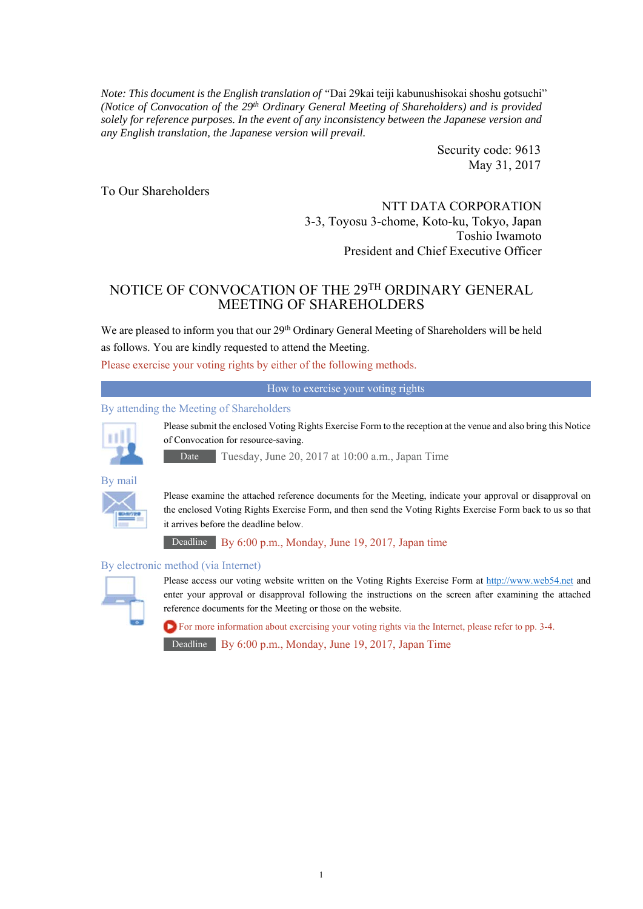*Note: This document is the English translation of "*Dai 29kai teiji kabunushisokai shoshu gotsuchi" *(Notice of Convocation of the 29th Ordinary General Meeting of Shareholders) and is provided solely for reference purposes. In the event of any inconsistency between the Japanese version and any English translation, the Japanese version will prevail.* 

> Security code: 9613 May 31, 2017

To Our Shareholders

NTT DATA CORPORATION 3-3, Toyosu 3-chome, Koto-ku, Tokyo, Japan Toshio Iwamoto President and Chief Executive Officer

# NOTICE OF CONVOCATION OF THE 29TH ORDINARY GENERAL MEETING OF SHAREHOLDERS

We are pleased to inform you that our 29<sup>th</sup> Ordinary General Meeting of Shareholders will be held as follows. You are kindly requested to attend the Meeting.

Please exercise your voting rights by either of the following methods.

How to exercise your voting rights

#### By attending the Meeting of Shareholders



Please submit the enclosed Voting Rights Exercise Form to the reception at the venue and also bring this Notice of Convocation for resource-saving.

Date Tuesday, June 20, 2017 at 10:00 a.m., Japan Time



Please examine the attached reference documents for the Meeting, indicate your approval or disapproval on the enclosed Voting Rights Exercise Form, and then send the Voting Rights Exercise Form back to us so that it arrives before the deadline below.

Deadline By 6:00 p.m., Monday, June 19, 2017, Japan time

#### By electronic method (via Internet)



Please access our voting website written on the Voting Rights Exercise Form at http://www.web54.net and enter your approval or disapproval following the instructions on the screen after examining the attached reference documents for the Meeting or those on the website.

For more information about exercising your voting rights via the Internet, please refer to pp. 3-4. Deadline By 6:00 p.m., Monday, June 19, 2017, Japan Time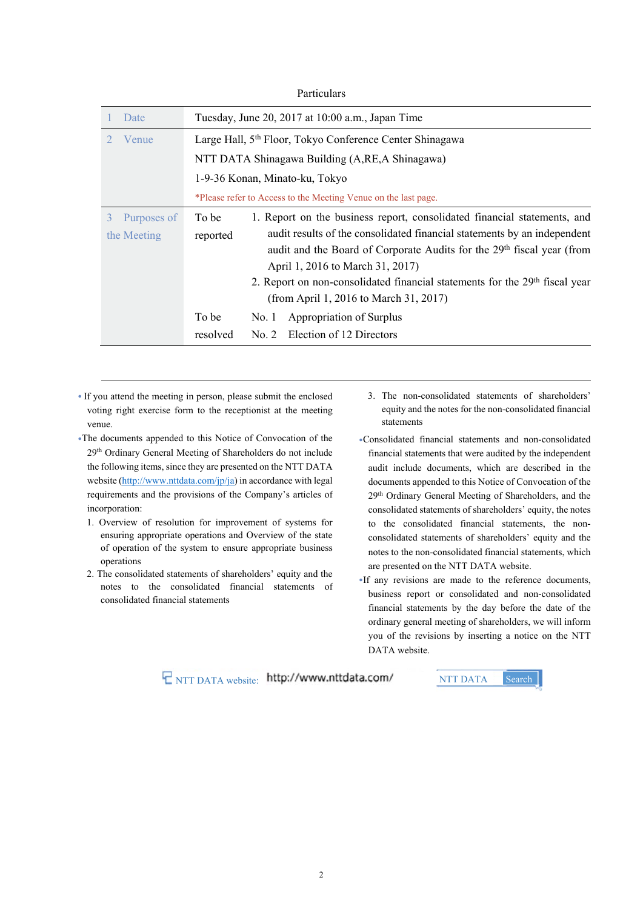| Particulars      |                                                                                         |  |  |  |
|------------------|-----------------------------------------------------------------------------------------|--|--|--|
| Date             | Tuesday, June 20, 2017 at 10:00 a.m., Japan Time                                        |  |  |  |
| Venue            | Large Hall, 5 <sup>th</sup> Floor, Tokyo Conference Center Shinagawa                    |  |  |  |
|                  | NTT DATA Shinagawa Building (A, RE, A Shinagawa)                                        |  |  |  |
|                  | 1-9-36 Konan, Minato-ku, Tokyo                                                          |  |  |  |
|                  | *Please refer to Access to the Meeting Venue on the last page.                          |  |  |  |
| Purposes of<br>3 | 1. Report on the business report, consolidated financial statements, and<br>To be       |  |  |  |
| the Meeting      | audit results of the consolidated financial statements by an independent<br>reported    |  |  |  |
|                  | audit and the Board of Corporate Audits for the 29 <sup>th</sup> fiscal year (from      |  |  |  |
|                  | April 1, 2016 to March 31, 2017)                                                        |  |  |  |
|                  | 2. Report on non-consolidated financial statements for the 29 <sup>th</sup> fiscal year |  |  |  |
|                  | (from April 1, 2016 to March 31, 2017)                                                  |  |  |  |
|                  | To be<br>Appropriation of Surplus<br>No. 1                                              |  |  |  |
|                  | resolved<br>Election of 12 Directors<br>No. 2                                           |  |  |  |

• If you attend the meeting in person, please submit the enclosed voting right exercise form to the receptionist at the meeting venue.

●The documents appended to this Notice of Convocation of the 29th Ordinary General Meeting of Shareholders do not include the following items, since they are presented on the NTT DATA website (http://www.nttdata.com/jp/ja) in accordance with legal requirements and the provisions of the Company's articles of incorporation:

- 1. Overview of resolution for improvement of systems for ensuring appropriate operations and Overview of the state of operation of the system to ensure appropriate business operations
- 2. The consolidated statements of shareholders' equity and the notes to the consolidated financial statements of consolidated financial statements
- 3. The non-consolidated statements of shareholders' equity and the notes for the non-consolidated financial statements
- ●Consolidated financial statements and non-consolidated financial statements that were audited by the independent audit include documents, which are described in the documents appended to this Notice of Convocation of the 29th Ordinary General Meeting of Shareholders, and the consolidated statements of shareholders' equity, the notes to the consolidated financial statements, the nonconsolidated statements of shareholders' equity and the notes to the non-consolidated financial statements, which are presented on the NTT DATA website.
- ●If any revisions are made to the reference documents, business report or consolidated and non-consolidated financial statements by the day before the date of the ordinary general meeting of shareholders, we will inform you of the revisions by inserting a notice on the NTT DATA website.

**E** NTT DATA website: http://www.nttdata.com/ NTT DATA Search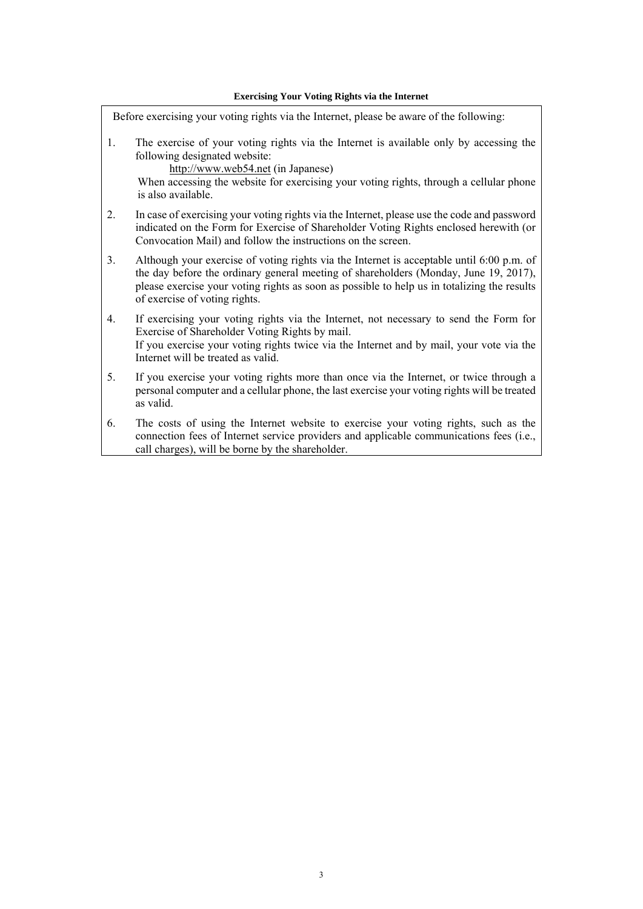Before exercising your voting rights via the Internet, please be aware of the following: 1. The exercise of your voting rights via the Internet is available only by accessing the following designated website: http://www.web54.net (in Japanese) When accessing the website for exercising your voting rights, through a cellular phone is also available. 2. In case of exercising your voting rights via the Internet, please use the code and password indicated on the Form for Exercise of Shareholder Voting Rights enclosed herewith (or Convocation Mail) and follow the instructions on the screen. 3. Although your exercise of voting rights via the Internet is acceptable until 6:00 p.m. of the day before the ordinary general meeting of shareholders (Monday, June 19, 2017), please exercise your voting rights as soon as possible to help us in totalizing the results of exercise of voting rights. 4. If exercising your voting rights via the Internet, not necessary to send the Form for Exercise of Shareholder Voting Rights by mail. If you exercise your voting rights twice via the Internet and by mail, your vote via the Internet will be treated as valid. 5. If you exercise your voting rights more than once via the Internet, or twice through a personal computer and a cellular phone, the last exercise your voting rights will be treated as valid. 6. The costs of using the Internet website to exercise your voting rights, such as the connection fees of Internet service providers and applicable communications fees (i.e., call charges), will be borne by the shareholder.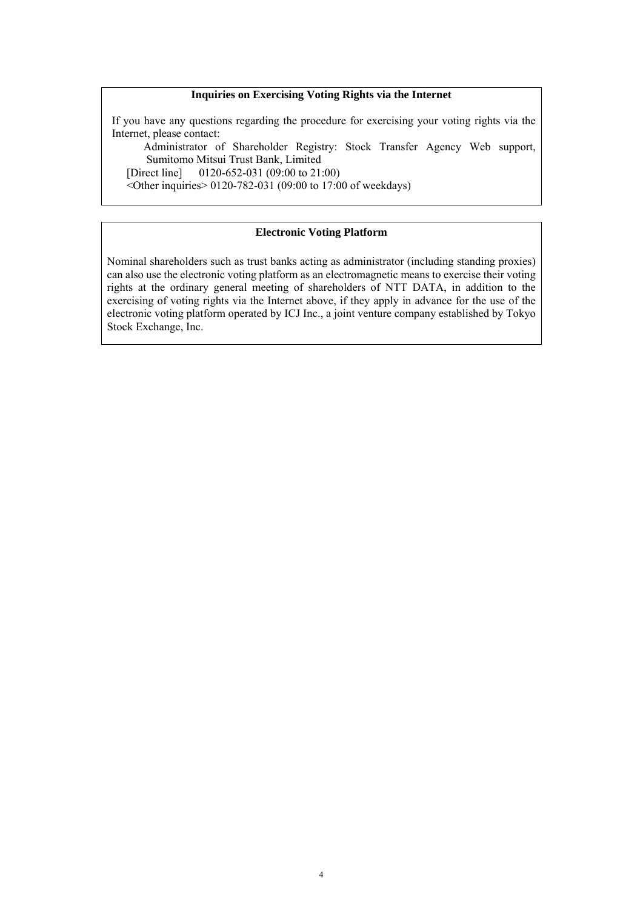#### **Inquiries on Exercising Voting Rights via the Internet**

If you have any questions regarding the procedure for exercising your voting rights via the Internet, please contact:

 Administrator of Shareholder Registry: Stock Transfer Agency Web support, Sumitomo Mitsui Trust Bank, Limited<br>[Direct line] 0120-652-031 (09:00 to 21:

 $0120-652-031$  (09:00 to 21:00)

 $\leq$ Other inquiries $> 0120 - 782 - 031$  (09:00 to 17:00 of weekdays)

#### **Electronic Voting Platform**

Nominal shareholders such as trust banks acting as administrator (including standing proxies) can also use the electronic voting platform as an electromagnetic means to exercise their voting rights at the ordinary general meeting of shareholders of NTT DATA, in addition to the exercising of voting rights via the Internet above, if they apply in advance for the use of the electronic voting platform operated by ICJ Inc., a joint venture company established by Tokyo Stock Exchange, Inc.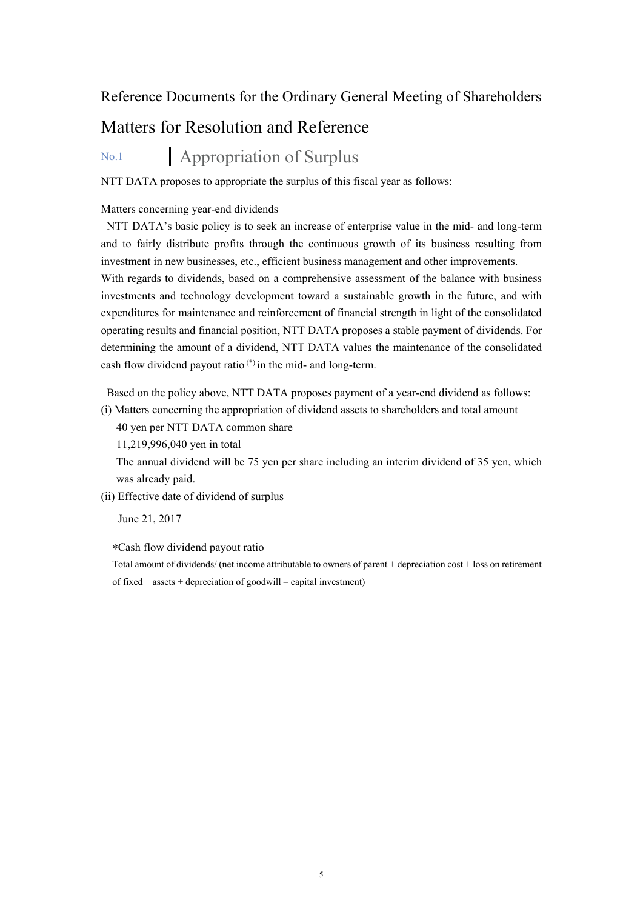# Reference Documents for the Ordinary General Meeting of Shareholders

# Matters for Resolution and Reference

# No.1 **Appropriation of Surplus**

NTT DATA proposes to appropriate the surplus of this fiscal year as follows:

#### Matters concerning year-end dividends

NTT DATA's basic policy is to seek an increase of enterprise value in the mid- and long-term and to fairly distribute profits through the continuous growth of its business resulting from investment in new businesses, etc., efficient business management and other improvements. With regards to dividends, based on a comprehensive assessment of the balance with business investments and technology development toward a sustainable growth in the future, and with expenditures for maintenance and reinforcement of financial strength in light of the consolidated operating results and financial position, NTT DATA proposes a stable payment of dividends. For determining the amount of a dividend, NTT DATA values the maintenance of the consolidated cash flow dividend payout ratio (\*) in the mid- and long-term.

Based on the policy above, NTT DATA proposes payment of a year-end dividend as follows:

(i) Matters concerning the appropriation of dividend assets to shareholders and total amount

40 yen per NTT DATA common share

11,219,996,040 yen in total

The annual dividend will be 75 yen per share including an interim dividend of 35 yen, which was already paid.

(ii) Effective date of dividend of surplus

June 21, 2017

\*Cash flow dividend payout ratio

Total amount of dividends/ (net income attributable to owners of parent + depreciation cost + loss on retirement of fixed assets + depreciation of goodwill – capital investment)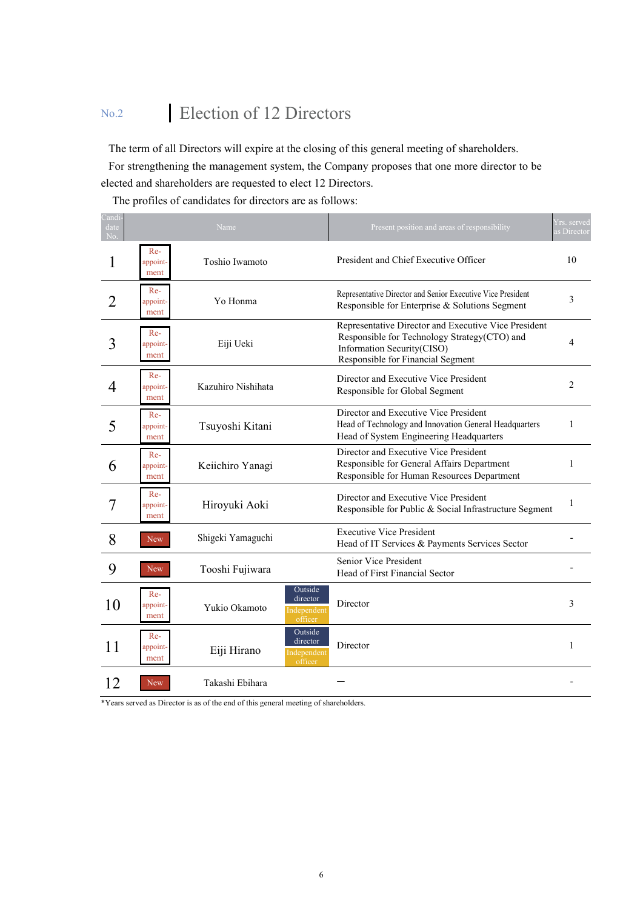# No.2 Election of 12 Directors

The term of all Directors will expire at the closing of this general meeting of shareholders.

For strengthening the management system, the Company proposes that one more director to be elected and shareholders are requested to elect 12 Directors.

The profiles of candidates for directors are as follows:

| Candi-<br>date<br>No |                           | Name                                                           | Present position and areas of responsibility                                                                                                                             | Yrs. served<br>as Director |
|----------------------|---------------------------|----------------------------------------------------------------|--------------------------------------------------------------------------------------------------------------------------------------------------------------------------|----------------------------|
| 1                    | Re-<br>appoint-<br>ment   | Toshio Iwamoto                                                 | President and Chief Executive Officer                                                                                                                                    | 10                         |
|                      | Re-<br>appoint-<br>ment   | Yo Honma                                                       | Representative Director and Senior Executive Vice President<br>Responsible for Enterprise & Solutions Segment                                                            | 3                          |
| 3                    | $Re-$<br>appoint-<br>ment | Eiji Ueki                                                      | Representative Director and Executive Vice President<br>Responsible for Technology Strategy (CTO) and<br>Information Security(CISO)<br>Responsible for Financial Segment | 4                          |
| 4                    | $Re-$<br>appoint-<br>ment | Kazuhiro Nishihata                                             | Director and Executive Vice President<br>Responsible for Global Segment                                                                                                  | $\overline{2}$             |
| 5                    | $Re-$<br>appoint-<br>ment | Tsuyoshi Kitani                                                | Director and Executive Vice President<br>Head of Technology and Innovation General Headquarters<br>Head of System Engineering Headquarters                               | 1                          |
| 6                    | $Re-$<br>appoint-<br>ment | Keiichiro Yanagi                                               | Director and Executive Vice President<br>Responsible for General Affairs Department<br>Responsible for Human Resources Department                                        | 1                          |
|                      | Re-<br>appoint-<br>ment   | Hiroyuki Aoki                                                  | Director and Executive Vice President<br>Responsible for Public & Social Infrastructure Segment                                                                          | 1                          |
| 8                    | <b>New</b>                | Shigeki Yamaguchi                                              | <b>Executive Vice President</b><br>Head of IT Services & Payments Services Sector                                                                                        |                            |
| 9                    | <b>New</b>                | Tooshi Fujiwara                                                | Senior Vice President<br>Head of First Financial Sector                                                                                                                  |                            |
| 10                   | Re-<br>appoint-<br>ment   | Outside<br>director<br>Yukio Okamoto<br>Independent<br>officer | Director                                                                                                                                                                 | 3                          |
| 11                   | $Re-$<br>appoint-<br>ment | Outside<br>director<br>Eiji Hirano<br>Independent<br>officer   | Director                                                                                                                                                                 | 1                          |
| 12                   | <b>New</b>                | Takashi Ebihara                                                |                                                                                                                                                                          |                            |

\*Years served as Director is as of the end of this general meeting of shareholders.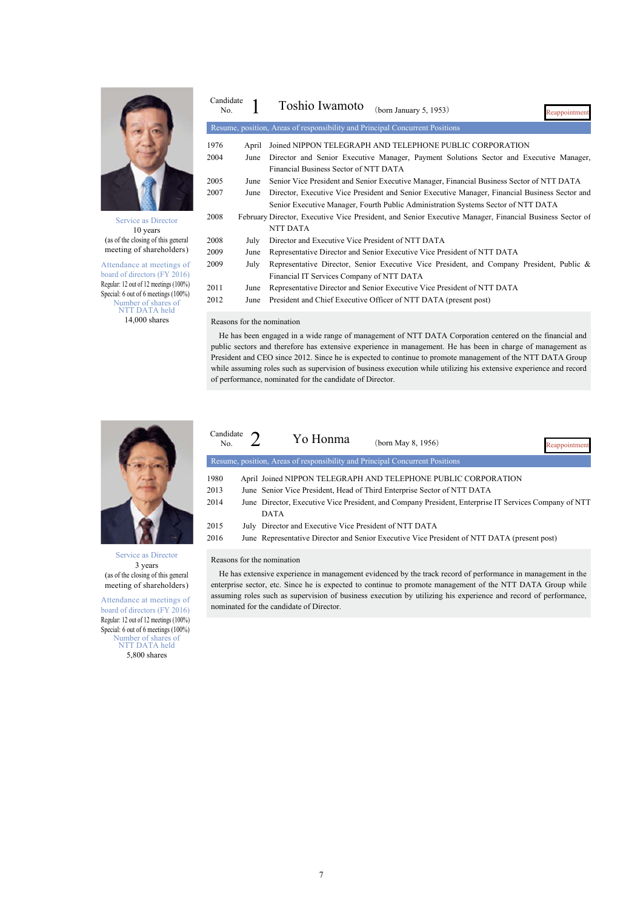

Service as Director 10 years (as of the closing of this general meeting of shareholders)

Attendance at meetings of board of directors (FY 2016) Regular: 12 out of 12 meetings (100%) Special: 6 out of 6 meetings (100%) Number of shares of NTT DATA held 14,000 shares

| Candidate<br>No. |       | Toshio Iwamoto<br>(born January 5, 1953)<br>Reappointment                                               |
|------------------|-------|---------------------------------------------------------------------------------------------------------|
|                  |       | Resume, position, Areas of responsibility and Principal Concurrent Positions                            |
| 1976             | April | Joined NIPPON TELEGRAPH AND TELEPHONE PUBLIC CORPORATION                                                |
| 2004             | June  | Director and Senior Executive Manager, Payment Solutions Sector and Executive Manager,                  |
|                  |       | Financial Business Sector of NTT DATA                                                                   |
| 2005             | June  | Senior Vice President and Senior Executive Manager, Financial Business Sector of NTT DATA               |
| 2007             | June  | Director, Executive Vice President and Senior Executive Manager, Financial Business Sector and          |
|                  |       | Senior Executive Manager, Fourth Public Administration Systems Sector of NTT DATA                       |
| 2008             |       | February Director, Executive Vice President, and Senior Executive Manager, Financial Business Sector of |
|                  |       | NTT DATA                                                                                                |
| 2008             | July  | Director and Executive Vice President of NTT DATA                                                       |
| 2009             | June  | Representative Director and Senior Executive Vice President of NTT DATA                                 |
| 2009             | July  | Representative Director, Senior Executive Vice President, and Company President, Public &               |
|                  |       | Financial IT Services Company of NTT DATA                                                               |
| 2011             | June  | Representative Director and Senior Executive Vice President of NTT DATA                                 |
| 2012             | June  | President and Chief Executive Officer of NTT DATA (present post)                                        |

Reasons for the nomination

He has been engaged in a wide range of management of NTT DATA Corporation centered on the financial and public sectors and therefore has extensive experience in management. He has been in charge of management as President and CEO since 2012. Since he is expected to continue to promote management of the NTT DATA Group while assuming roles such as supervision of business execution while utilizing his extensive experience and record of performance, nominated for the candidate of Director.



Service as Director 3 years (as of the closing of this general meeting of shareholders)

Attendance at meetings of board of directors (FY 2016) Regular: 12 out of 12 meetings (100%) Special: 6 out of 6 meetings (100%) Number of shares of NTT DATA held 5,800 shares

| Candidate<br>No. | Yo Honma                                                                     | (born May 8, 1956)                                                                                    | <b>Reappointment</b> |
|------------------|------------------------------------------------------------------------------|-------------------------------------------------------------------------------------------------------|----------------------|
|                  | Resume, position, Areas of responsibility and Principal Concurrent Positions |                                                                                                       |                      |
| 1980             |                                                                              | April Joined NIPPON TELEGRAPH AND TELEPHONE PUBLIC CORPORATION                                        |                      |
| 2013             |                                                                              | June Senior Vice President, Head of Third Enterprise Sector of NTT DATA                               |                      |
| 2014             |                                                                              | June Director, Executive Vice President, and Company President, Enterprise IT Services Company of NTT |                      |
|                  | <b>DATA</b>                                                                  |                                                                                                       |                      |
| 2015             | July Director and Executive Vice President of NTT DATA                       |                                                                                                       |                      |
| 2016             |                                                                              | June Representative Director and Senior Executive Vice President of NTT DATA (present post)           |                      |

#### Reasons for the nomination

He has extensive experience in management evidenced by the track record of performance in management in the enterprise sector, etc. Since he is expected to continue to promote management of the NTT DATA Group while assuming roles such as supervision of business execution by utilizing his experience and record of performance, nominated for the candidate of Director.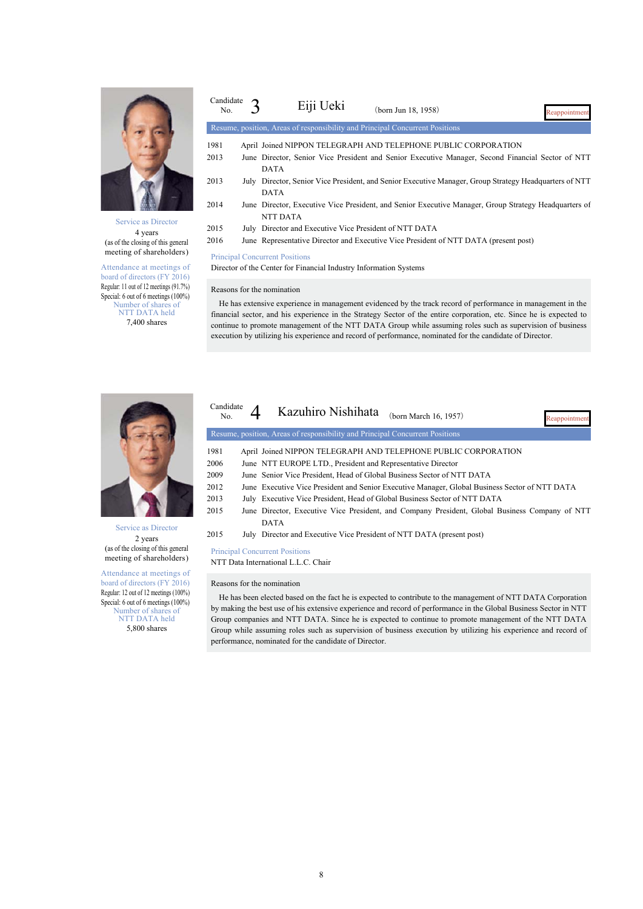

Service as Director 4 years (as of the closing of this general meeting of shareholders)

Attendance at meetings of board of directors (FY 2016) Regular: 11 out of 12 meetings (91.7%) Special: 6 out of 6 meetings (100%) Number of shares of NTT DATA held 7,400 shares

| Candidate<br>No. | Eiji Ueki                                                         | (born Jun 18, 1958)                                                                                    | Reappointment |
|------------------|-------------------------------------------------------------------|--------------------------------------------------------------------------------------------------------|---------------|
|                  |                                                                   | Resume, position, Areas of responsibility and Principal Concurrent Positions                           |               |
| 1981             |                                                                   | April Joined NIPPON TELEGRAPH AND TELEPHONE PUBLIC CORPORATION                                         |               |
| 2013             | <b>DATA</b>                                                       | June Director, Senior Vice President and Senior Executive Manager, Second Financial Sector of NTT      |               |
| 2013             | <b>DATA</b>                                                       | July Director, Senior Vice President, and Senior Executive Manager, Group Strategy Headquarters of NTT |               |
| 2014             | <b>NTT DATA</b>                                                   | June Director, Executive Vice President, and Senior Executive Manager, Group Strategy Headquarters of  |               |
| 2015             | July Director and Executive Vice President of NTT DATA            |                                                                                                        |               |
| 2016             |                                                                   | June Representative Director and Executive Vice President of NTT DATA (present post)                   |               |
|                  | <b>Principal Concurrent Positions</b>                             |                                                                                                        |               |
|                  | Director of the Center for Financial Industry Information Systems |                                                                                                        |               |
|                  | Reasons for the nomination                                        |                                                                                                        |               |

He has extensive experience in management evidenced by the track record of performance in management in the financial sector, and his experience in the Strategy Sector of the entire corporation, etc. Since he is expected to continue to promote management of the NTT DATA Group while assuming roles such as supervision of business execution by utilizing his experience and record of performance, nominated for the candidate of Director.



Service as Director 2 years (as of the closing of this general meeting of shareholders)

Attendance at meetings of board of directors (FY 2016) Regular: 12 out of 12 meetings (100%) Special: 6 out of 6 meetings (100%) Number of shares of NTT DATA held 5,800 shares

| Candidate<br>No. | Kazuhiro Nishihata<br>(born March 16, 1957)<br>Reannointment                                   |
|------------------|------------------------------------------------------------------------------------------------|
|                  | Resume, position, Areas of responsibility and Principal Concurrent Positions                   |
| 1981             | April Joined NIPPON TELEGRAPH AND TELEPHONE PUBLIC CORPORATION                                 |
| 2006             | June NTT EUROPE LTD., President and Representative Director                                    |
| 2009             | June Senior Vice President, Head of Global Business Sector of NTT DATA                         |
| 2012             | June Executive Vice President and Senior Executive Manager, Global Business Sector of NTT DATA |
| 2013             | July Executive Vice President, Head of Global Business Sector of NTT DATA                      |
| 2015             | June Director, Executive Vice President, and Company President, Global Business Company of NTT |
|                  | <b>DATA</b>                                                                                    |
| 2015             | July Director and Executive Vice President of NTT DATA (present post)                          |
|                  |                                                                                                |

Principal Concurrent Positions NTT Data International L.L.C. Chair

Reasons for the nomination

He has been elected based on the fact he is expected to contribute to the management of NTT DATA Corporation by making the best use of his extensive experience and record of performance in the Global Business Sector in NTT Group companies and NTT DATA. Since he is expected to continue to promote management of the NTT DATA Group while assuming roles such as supervision of business execution by utilizing his experience and record of performance, nominated for the candidate of Director.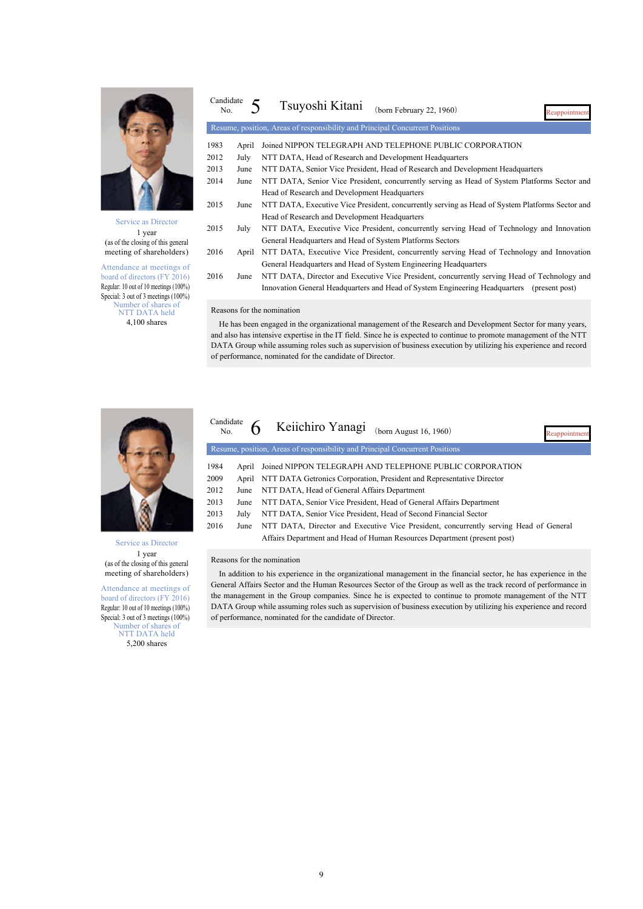

Service as Director 1 year (as of the closing of this general meeting of shareholders)

Attendance at meetings of board of directors (FY 2016) Regular: 10 out of 10 meetings (100%) Special: 3 out of 3 meetings (100%) Number of shares of NTT DATA held 4,100 shares

| Candidate<br>No. |       | Tsuyoshi Kitani<br>(born February 22, 1960)<br>Reappointment                                    |
|------------------|-------|-------------------------------------------------------------------------------------------------|
|                  |       | Resume, position, Areas of responsibility and Principal Concurrent Positions                    |
| 1983             | April | Joined NIPPON TELEGRAPH AND TELEPHONE PUBLIC CORPORATION                                        |
| 2012             | July  | NTT DATA, Head of Research and Development Headquarters                                         |
| 2013             | June  | NTT DATA, Senior Vice President, Head of Research and Development Headquarters                  |
| 2014             | June  | NTT DATA, Senior Vice President, concurrently serving as Head of System Platforms Sector and    |
|                  |       | Head of Research and Development Headquarters                                                   |
| 2015             | June  | NTT DATA, Executive Vice President, concurrently serving as Head of System Platforms Sector and |
|                  |       | Head of Research and Development Headquarters                                                   |
| 2015             | July  | NTT DATA, Executive Vice President, concurrently serving Head of Technology and Innovation      |
|                  |       | General Headquarters and Head of System Platforms Sectors                                       |
| 2016             | April | NTT DATA, Executive Vice President, concurrently serving Head of Technology and Innovation      |
|                  |       | General Headquarters and Head of System Engineering Headquarters                                |
| 2016             | June  | NTT DATA, Director and Executive Vice President, concurrently serving Head of Technology and    |
|                  |       | Innovation General Headquarters and Head of System Engineering Headquarters<br>(present post)   |
|                  |       |                                                                                                 |

#### Reasons for the nomination

He has been engaged in the organizational management of the Research and Development Sector for many years, and also has intensive expertise in the IT field. Since he is expected to continue to promote management of the NTT DATA Group while assuming roles such as supervision of business execution by utilizing his experience and record of performance, nominated for the candidate of Director.



Service as Director 1 year (as of the closing of this general meeting of shareholders)

Attendance at meetings of board of directors (FY 2016) Regular: 10 out of 10 meetings (100%) Special: 3 out of 3 meetings (100%) Number of shares of NTT DATA held 5,200 shares

appoint Candidate<br>No  $6$  Keiichiro Yanagi (born August 16, 1960) Resume, position, Areas of responsibility and Principal Concurrent Positions 1984 April Joined NIPPON TELEGRAPH AND TELEPHONE PUBLIC CORPORATION 2009 April NTT DATA Getronics Corporation, President and Representative Director 2012 June NTT DATA, Head of General Affairs Department 2013 June NTT DATA, Senior Vice President, Head of General Affairs Department 2013 July NTT DATA, Senior Vice President, Head of Second Financial Sector 2016 June NTT DATA, Director and Executive Vice President, concurrently serving Head of General Affairs Department and Head of Human Resources Department (present post)

Reasons for the nomination

9

In addition to his experience in the organizational management in the financial sector, he has experience in the General Affairs Sector and the Human Resources Sector of the Group as well as the track record of performance in the management in the Group companies. Since he is expected to continue to promote management of the NTT DATA Group while assuming roles such as supervision of business execution by utilizing his experience and record of performance, nominated for the candidate of Director.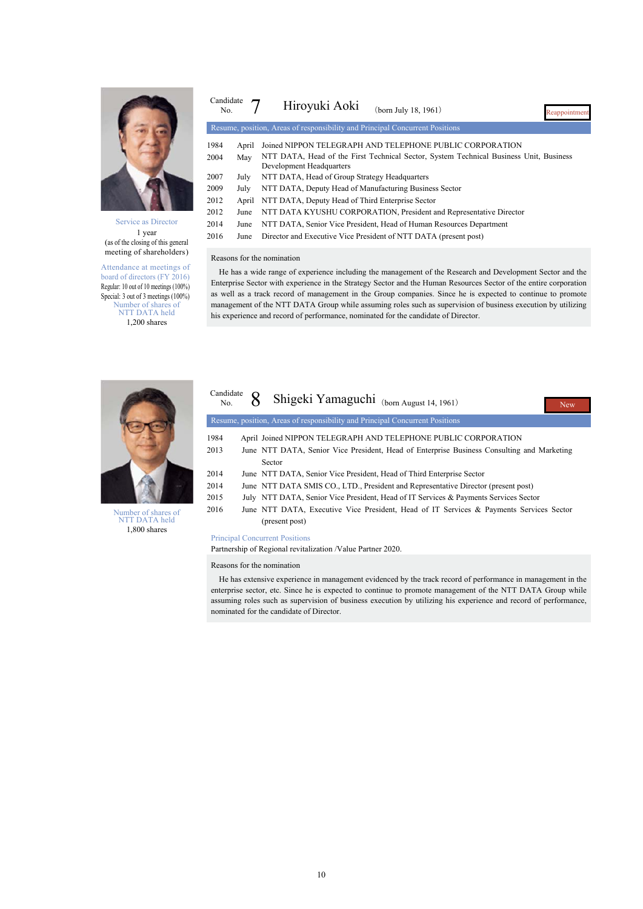

Service as Director 1 year (as of the closing of this general meeting of shareholders)

Attendance at meetings of board of directors (FY 2016) Regular: 10 out of 10 meetings (100%) Special: 3 out of 3 meetings (100%) Number of shares of NTT DATA held 1,200 shares

| Candidate<br>No. |       | Hiroyuki Aoki<br>(born July 18, 1961)<br>Reappointment                                                             |
|------------------|-------|--------------------------------------------------------------------------------------------------------------------|
|                  |       | Resume, position, Areas of responsibility and Principal Concurrent Positions                                       |
| 1984             | April | Joined NIPPON TELEGRAPH AND TELEPHONE PUBLIC CORPORATION                                                           |
| 2004             | May   | NTT DATA, Head of the First Technical Sector, System Technical Business Unit, Business<br>Development Headquarters |
| 2007             | July  | NTT DATA, Head of Group Strategy Headquarters                                                                      |
| 2009             | July  | NTT DATA, Deputy Head of Manufacturing Business Sector                                                             |
| 2012             | April | NTT DATA, Deputy Head of Third Enterprise Sector                                                                   |
| 2012             | June  | NTT DATA KYUSHU CORPORATION, President and Representative Director                                                 |
| 2014             | June  | NTT DATA, Senior Vice President, Head of Human Resources Department                                                |
| 2016             | June  | Director and Executive Vice President of NTT DATA (present post)                                                   |

#### Reasons for the nomination

He has a wide range of experience including the management of the Research and Development Sector and the Enterprise Sector with experience in the Strategy Sector and the Human Resources Sector of the entire corporation as well as a track record of management in the Group companies. Since he is expected to continue to promote management of the NTT DATA Group while assuming roles such as supervision of business execution by utilizing his experience and record of performance, nominated for the candidate of Director.



| Number of shares of |
|---------------------|
| NTT DATA held       |
| 1,800 shares        |

| Candidate<br>No. | Shigeki Yamaguchi (born August 14, 1961)<br><b>New</b>                                     |
|------------------|--------------------------------------------------------------------------------------------|
|                  | Resume, position, Areas of responsibility and Principal Concurrent Positions               |
| 1984             | April Joined NIPPON TELEGRAPH AND TELEPHONE PUBLIC CORPORATION                             |
| 2013             | June NTT DATA, Senior Vice President, Head of Enterprise Business Consulting and Marketing |
|                  | Sector                                                                                     |
| 2014             | June NTT DATA, Senior Vice President, Head of Third Enterprise Sector                      |
| 2014             | June NTT DATA SMIS CO., LTD., President and Representative Director (present post)         |
| 2015             | July NTT DATA, Senior Vice President, Head of IT Services & Payments Services Sector       |
| 2016             | June NTT DATA, Executive Vice President, Head of IT Services & Payments Services Sector    |
|                  | (present post)                                                                             |

#### Principal Concurrent Positions

Partnership of Regional revitalization /Value Partner 2020.

#### Reasons for the nomination

He has extensive experience in management evidenced by the track record of performance in management in the enterprise sector, etc. Since he is expected to continue to promote management of the NTT DATA Group while assuming roles such as supervision of business execution by utilizing his experience and record of performance, nominated for the candidate of Director.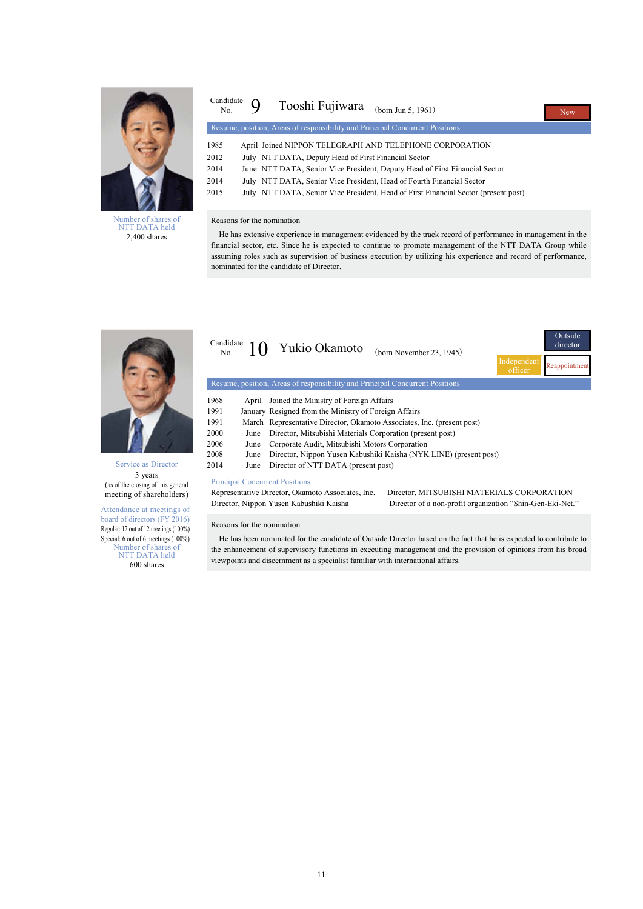

Number of shares of NTT DATA held 2,400 shares

| Candidate<br>No. | Tooshi Fujiwara<br>(born Jun 5, 1961)                                               | <b>New</b> |
|------------------|-------------------------------------------------------------------------------------|------------|
|                  | Resume, position, Areas of responsibility and Principal Concurrent Positions        |            |
| 1985             | April Joined NIPPON TELEGRAPH AND TELEPHONE CORPORATION                             |            |
| 2012             | July NTT DATA, Deputy Head of First Financial Sector                                |            |
| 2014             | June NTT DATA, Senior Vice President, Deputy Head of First Financial Sector         |            |
| 2014             | July NTT DATA, Senior Vice President, Head of Fourth Financial Sector               |            |
| 2015             | July NTT DATA, Senior Vice President, Head of First Financial Sector (present post) |            |
|                  |                                                                                     |            |

#### Reasons for the nomination

He has extensive experience in management evidenced by the track record of performance in management in the financial sector, etc. Since he is expected to continue to promote management of the NTT DATA Group while assuming roles such as supervision of business execution by utilizing his experience and record of performance, nominated for the candidate of Director.



Service as Director 3 years (as of the closing of this general meeting of shareholders)

Attendance at meetings of board of directors (FY 2016) Regular: 12 out of 12 meetings (100%) Special: 6 out of 6 meetings (100%) Number of shares of NTT DATA held

600 shares

| Candidate<br>No. |       | Yukio Okamoto<br>(born November 23, 1945)                                    |                        | Outside<br>director |
|------------------|-------|------------------------------------------------------------------------------|------------------------|---------------------|
|                  |       |                                                                              | Independent<br>officer |                     |
|                  |       | Resume, position, Areas of responsibility and Principal Concurrent Positions |                        |                     |
| 1968             | April | Joined the Ministry of Foreign Affairs                                       |                        |                     |
| 1991             |       | January Resigned from the Ministry of Foreign Affairs                        |                        |                     |
| 1991             |       | March Representative Director, Okamoto Associates, Inc. (present post)       |                        |                     |
| 2000             | June  | Director, Mitsubishi Materials Corporation (present post)                    |                        |                     |
| 2006             | June  | Corporate Audit, Mitsubishi Motors Corporation                               |                        |                     |
| 2008             | June  | Director, Nippon Yusen Kabushiki Kaisha (NYK LINE) (present post)            |                        |                     |
| 2014             | June  | Director of NTT DATA (present post)                                          |                        |                     |
|                  |       |                                                                              |                        |                     |

Principal Concurrent Positions<br>Representative Director, Okamoto Associates, Inc. Director, Nippon Yusen Kabushiki Kaisha Director of a non-profit organization "Shin-Gen-Eki-Net."

Director, MITSUBISHI MATERIALS CORPORATION

#### Reasons for the nomination

He has been nominated for the candidate of Outside Director based on the fact that he is expected to contribute to the enhancement of supervisory functions in executing management and the provision of opinions from his broad viewpoints and discernment as a specialist familiar with international affairs.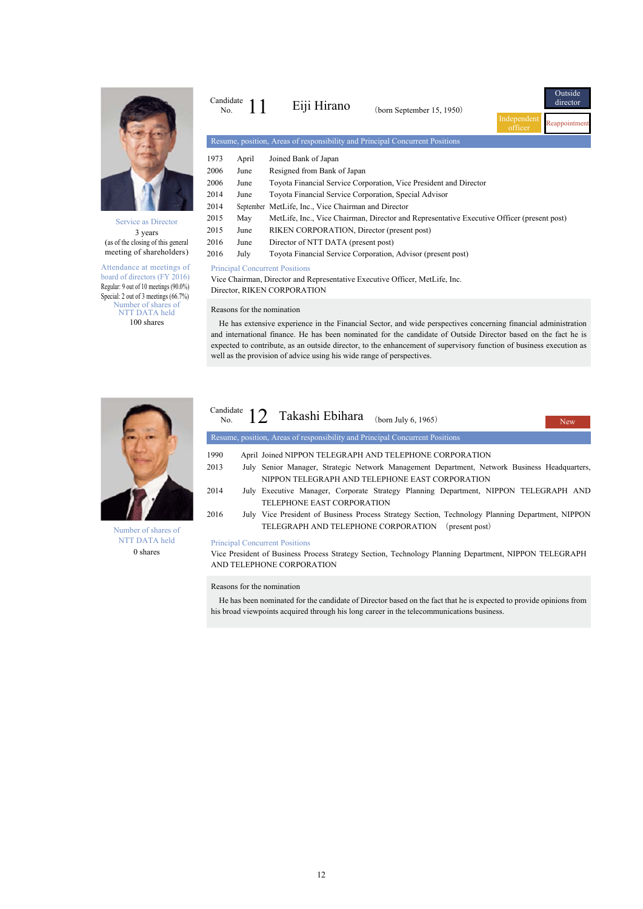

Service as Director 3 years (as of the closing of this general meeting of shareholders)

Attendance at meetings of board of directors (FY 2016) Regular: 9 out of 10 meetings (90.0%) Special: 2 out of 3 meetings (66.7%) Number of shares of NTT DATA held 100 shares

| Candidate<br>No.                                                                                          |                                                        | Eiji Hirano                                                                  | (born September 15, 1950) | Independent<br>officer | Outside<br>director<br>Reappointment |  |  |
|-----------------------------------------------------------------------------------------------------------|--------------------------------------------------------|------------------------------------------------------------------------------|---------------------------|------------------------|--------------------------------------|--|--|
|                                                                                                           |                                                        | Resume, position, Areas of responsibility and Principal Concurrent Positions |                           |                        |                                      |  |  |
| 1973                                                                                                      | April                                                  | Joined Bank of Japan                                                         |                           |                        |                                      |  |  |
| 2006                                                                                                      | June                                                   | Resigned from Bank of Japan                                                  |                           |                        |                                      |  |  |
| 2006                                                                                                      | June                                                   | Toyota Financial Service Corporation, Vice President and Director            |                           |                        |                                      |  |  |
| 2014                                                                                                      | June                                                   | Toyota Financial Service Corporation, Special Advisor                        |                           |                        |                                      |  |  |
| 2014                                                                                                      | MetLife, Inc., Vice Chairman and Director<br>September |                                                                              |                           |                        |                                      |  |  |
| 2015<br>MetLife, Inc., Vice Chairman, Director and Representative Executive Officer (present post)<br>May |                                                        |                                                                              |                           |                        |                                      |  |  |
| 2015                                                                                                      | June                                                   | RIKEN CORPORATION, Director (present post)                                   |                           |                        |                                      |  |  |
| 2016                                                                                                      | June                                                   | Director of NTT DATA (present post)                                          |                           |                        |                                      |  |  |
| 2016                                                                                                      | July                                                   | Toyota Financial Service Corporation, Advisor (present post)                 |                           |                        |                                      |  |  |
|                                                                                                           |                                                        |                                                                              |                           |                        |                                      |  |  |

#### Principal Concurrent Positions

Vice Chairman, Director and Representative Executive Officer, MetLife, Inc. Director, RIKEN CORPORATION

#### Reasons for the nomination

He has extensive experience in the Financial Sector, and wide perspectives concerning financial administration and international finance. He has been nominated for the candidate of Outside Director based on the fact he is expected to contribute, as an outside director, to the enhancement of supervisory function of business execution as well as the provision of advice using his wide range of perspectives.



Number of shares of NTT DATA held 0 shares

#### **Nev** Candidate  $N_{\rm 0}$ . 12 Takashi Ebihara (born July 6, 1965) Resume, position, Areas of responsibility and Principal Concurrent Positions 1990 April Joined NIPPON TELEGRAPH AND TELEPHONE CORPORATION 2013 July Senior Manager, Strategic Network Management Department, Network Business Headquarters, NIPPON TELEGRAPH AND TELEPHONE EAST CORPORATION 2014 July Executive Manager, Corporate Strategy Planning Department, NIPPON TELEGRAPH AND TELEPHONE EAST CORPORATION 2016 July Vice President of Business Process Strategy Section, Technology Planning Department, NIPPON TELEGRAPH AND TELEPHONE CORPORATION (present post) Principal Concurrent Positions

Vice President of Business Process Strategy Section, Technology Planning Department, NIPPON TELEGRAPH AND TELEPHONE CORPORATION

#### Reasons for the nomination

He has been nominated for the candidate of Director based on the fact that he is expected to provide opinions from his broad viewpoints acquired through his long career in the telecommunications business.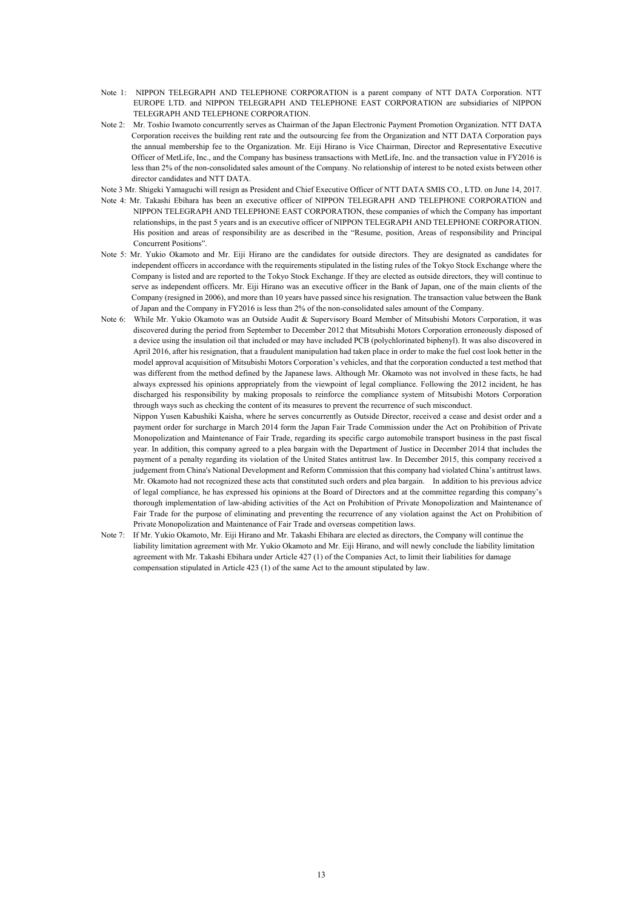- Note 1: NIPPON TELEGRAPH AND TELEPHONE CORPORATION is a parent company of NTT DATA Corporation. NTT EUROPE LTD. and NIPPON TELEGRAPH AND TELEPHONE EAST CORPORATION are subsidiaries of NIPPON TELEGRAPH AND TELEPHONE CORPORATION.
- Note 2: Mr. Toshio Iwamoto concurrently serves as Chairman of the Japan Electronic Payment Promotion Organization. NTT DATA Corporation receives the building rent rate and the outsourcing fee from the Organization and NTT DATA Corporation pays the annual membership fee to the Organization. Mr. Eiji Hirano is Vice Chairman, Director and Representative Executive Officer of MetLife, Inc., and the Company has business transactions with MetLife, Inc. and the transaction value in FY2016 is less than 2% of the non-consolidated sales amount of the Company. No relationship of interest to be noted exists between other director candidates and NTT DATA.
- Note 3 Mr. Shigeki Yamaguchi will resign as President and Chief Executive Officer of NTT DATA SMIS CO., LTD. on June 14, 2017.
- Note 4: Mr. Takashi Ebihara has been an executive officer of NIPPON TELEGRAPH AND TELEPHONE CORPORATION and NIPPON TELEGRAPH AND TELEPHONE EAST CORPORATION, these companies of which the Company has important relationships, in the past 5 years and is an executive officer of NIPPON TELEGRAPH AND TELEPHONE CORPORATION. His position and areas of responsibility are as described in the "Resume, position, Areas of responsibility and Principal Concurrent Positions".
- Note 5: Mr. Yukio Okamoto and Mr. Eiji Hirano are the candidates for outside directors. They are designated as candidates for independent officers in accordance with the requirements stipulated in the listing rules of the Tokyo Stock Exchange where the Company is listed and are reported to the Tokyo Stock Exchange. If they are elected as outside directors, they will continue to serve as independent officers. Mr. Eiji Hirano was an executive officer in the Bank of Japan, one of the main clients of the Company (resigned in 2006), and more than 10 years have passed since his resignation. The transaction value between the Bank of Japan and the Company in FY2016 is less than 2% of the non-consolidated sales amount of the Company.
- Note 6: While Mr. Yukio Okamoto was an Outside Audit & Supervisory Board Member of Mitsubishi Motors Corporation, it was discovered during the period from September to December 2012 that Mitsubishi Motors Corporation erroneously disposed of a device using the insulation oil that included or may have included PCB (polychlorinated biphenyl). It was also discovered in April 2016, after his resignation, that a fraudulent manipulation had taken place in order to make the fuel cost look better in the model approval acquisition of Mitsubishi Motors Corporation's vehicles, and that the corporation conducted a test method that was different from the method defined by the Japanese laws. Although Mr. Okamoto was not involved in these facts, he had always expressed his opinions appropriately from the viewpoint of legal compliance. Following the 2012 incident, he has discharged his responsibility by making proposals to reinforce the compliance system of Mitsubishi Motors Corporation through ways such as checking the content of its measures to prevent the recurrence of such misconduct.

Nippon Yusen Kabushiki Kaisha, where he serves concurrently as Outside Director, received a cease and desist order and a payment order for surcharge in March 2014 form the Japan Fair Trade Commission under the Act on Prohibition of Private Monopolization and Maintenance of Fair Trade, regarding its specific cargo automobile transport business in the past fiscal year. In addition, this company agreed to a plea bargain with the Department of Justice in December 2014 that includes the payment of a penalty regarding its violation of the United States antitrust law. In December 2015, this company received a judgement from China's National Development and Reform Commission that this company had violated China's antitrust laws. Mr. Okamoto had not recognized these acts that constituted such orders and plea bargain. In addition to his previous advice of legal compliance, he has expressed his opinions at the Board of Directors and at the committee regarding this company's thorough implementation of law-abiding activities of the Act on Prohibition of Private Monopolization and Maintenance of Fair Trade for the purpose of eliminating and preventing the recurrence of any violation against the Act on Prohibition of Private Monopolization and Maintenance of Fair Trade and overseas competition laws.

Note 7: If Mr. Yukio Okamoto, Mr. Eiji Hirano and Mr. Takashi Ebihara are elected as directors, the Company will continue the liability limitation agreement with Mr. Yukio Okamoto and Mr. Eiji Hirano, and will newly conclude the liability limitation agreement with Mr. Takashi Ebihara under Article 427 (1) of the Companies Act, to limit their liabilities for damage compensation stipulated in Article 423 (1) of the same Act to the amount stipulated by law.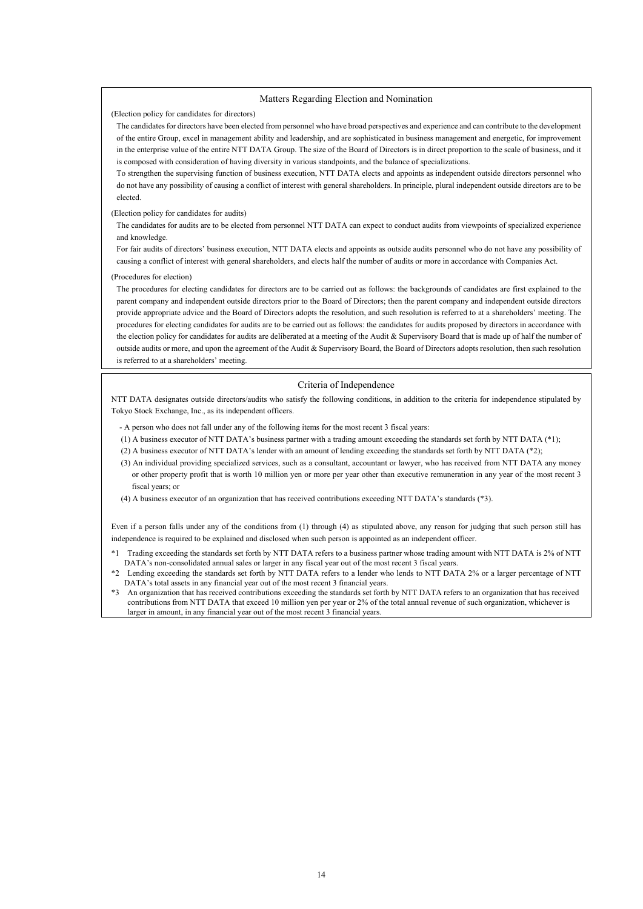#### Matters Regarding Election and Nomination

(Election policy for candidates for directors)

The candidates for directors have been elected from personnel who have broad perspectives and experience and can contribute to the development of the entire Group, excel in management ability and leadership, and are sophisticated in business management and energetic, for improvement in the enterprise value of the entire NTT DATA Group. The size of the Board of Directors is in direct proportion to the scale of business, and it is composed with consideration of having diversity in various standpoints, and the balance of specializations.

To strengthen the supervising function of business execution, NTT DATA elects and appoints as independent outside directors personnel who do not have any possibility of causing a conflict of interest with general shareholders. In principle, plural independent outside directors are to be elected.

#### (Election policy for candidates for audits)

The candidates for audits are to be elected from personnel NTT DATA can expect to conduct audits from viewpoints of specialized experience and knowledge.

For fair audits of directors' business execution, NTT DATA elects and appoints as outside audits personnel who do not have any possibility of causing a conflict of interest with general shareholders, and elects half the number of audits or more in accordance with Companies Act.

#### (Procedures for election)

—<br>—

The procedures for electing candidates for directors are to be carried out as follows: the backgrounds of candidates are first explained to the parent company and independent outside directors prior to the Board of Directors; then the parent company and independent outside directors provide appropriate advice and the Board of Directors adopts the resolution, and such resolution is referred to at a shareholders' meeting. The procedures for electing candidates for audits are to be carried out as follows: the candidates for audits proposed by directors in accordance with the election policy for candidates for audits are deliberated at a meeting of the Audit & Supervisory Board that is made up of half the number of outside audits or more, and upon the agreement of the Audit & Supervisory Board, the Board of Directors adopts resolution, then such resolution is referred to at a shareholders' meeting.

#### Criteria of Independence

NTT DATA designates outside directors/audits who satisfy the following conditions, in addition to the criteria for independence stipulated by Tokyo Stock Exchange, Inc., as its independent officers.

- A person who does not fall under any of the following items for the most recent 3 fiscal years:

- (1) A business executor of NTT DATA's business partner with a trading amount exceeding the standards set forth by NTT DATA (\*1);
- (2) A business executor of NTT DATA's lender with an amount of lending exceeding the standards set forth by NTT DATA (\*2);
- (3) An individual providing specialized services, such as a consultant, accountant or lawyer, who has received from NTT DATA any money or other property profit that is worth 10 million yen or more per year other than executive remuneration in any year of the most recent 3 fiscal years; or
- (4) A business executor of an organization that has received contributions exceeding NTT DATA's standards (\*3).

Even if a person falls under any of the conditions from (1) through (4) as stipulated above, any reason for judging that such person still has independence is required to be explained and disclosed when such person is appointed as an independent officer.

- \*1 Trading exceeding the standards set forth by NTT DATA refers to a business partner whose trading amount with NTT DATA is 2% of NTT DATA's non-consolidated annual sales or larger in any fiscal year out of the most recent 3 fiscal years.
- \*2 Lending exceeding the standards set forth by NTT DATA refers to a lender who lends to NTT DATA 2% or a larger percentage of NTT DATA's total assets in any financial year out of the most recent 3 financial years.
- \*3 An organization that has received contributions exceeding the standards set forth by NTT DATA refers to an organization that has received contributions from NTT DATA that exceed 10 million yen per year or 2% of the total annual revenue of such organization, whichever is larger in amount, in any financial year out of the most recent 3 financial years.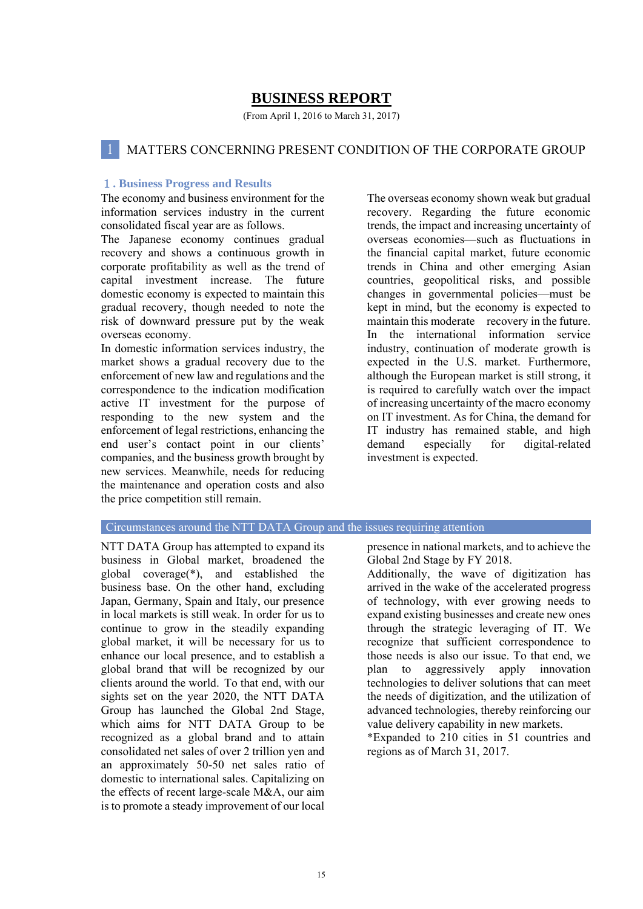## **BUSINESS REPORT**

(From April 1, 2016 to March 31, 2017)

### 1 MATTERS CONCERNING PRESENT CONDITION OF THE CORPORATE GROUP

#### 1**. Business Progress and Results**

The economy and business environment for the information services industry in the current consolidated fiscal year are as follows.

The Japanese economy continues gradual recovery and shows a continuous growth in corporate profitability as well as the trend of capital investment increase. The future domestic economy is expected to maintain this gradual recovery, though needed to note the risk of downward pressure put by the weak overseas economy.

In domestic information services industry, the market shows a gradual recovery due to the enforcement of new law and regulations and the correspondence to the indication modification active IT investment for the purpose of responding to the new system and the enforcement of legal restrictions, enhancing the end user's contact point in our clients' companies, and the business growth brought by new services. Meanwhile, needs for reducing the maintenance and operation costs and also the price competition still remain.

 The overseas economy shown weak but gradual recovery. Regarding the future economic trends, the impact and increasing uncertainty of overseas economies—such as fluctuations in the financial capital market, future economic trends in China and other emerging Asian countries, geopolitical risks, and possible changes in governmental policies—must be kept in mind, but the economy is expected to maintain this moderate recovery in the future. In the international information service industry, continuation of moderate growth is expected in the U.S. market. Furthermore, although the European market is still strong, it is required to carefully watch over the impact of increasing uncertainty of the macro economy on IT investment. As for China, the demand for IT industry has remained stable, and high demand especially for digital-related investment is expected.

#### Circumstances around the NTT DATA Group and the issues requiring attention

NTT DATA Group has attempted to expand its business in Global market, broadened the global coverage(\*), and established the business base. On the other hand, excluding Japan, Germany, Spain and Italy, our presence in local markets is still weak. In order for us to continue to grow in the steadily expanding global market, it will be necessary for us to enhance our local presence, and to establish a global brand that will be recognized by our clients around the world. To that end, with our sights set on the year 2020, the NTT DATA Group has launched the Global 2nd Stage, which aims for NTT DATA Group to be recognized as a global brand and to attain consolidated net sales of over 2 trillion yen and an approximately 50-50 net sales ratio of domestic to international sales. Capitalizing on the effects of recent large-scale M&A, our aim is to promote a steady improvement of our local

presence in national markets, and to achieve the Global 2nd Stage by FY 2018.

Additionally, the wave of digitization has arrived in the wake of the accelerated progress of technology, with ever growing needs to expand existing businesses and create new ones through the strategic leveraging of IT. We recognize that sufficient correspondence to those needs is also our issue. To that end, we plan to aggressively apply innovation technologies to deliver solutions that can meet the needs of digitization, and the utilization of advanced technologies, thereby reinforcing our value delivery capability in new markets.

\*Expanded to 210 cities in 51 countries and regions as of March 31, 2017.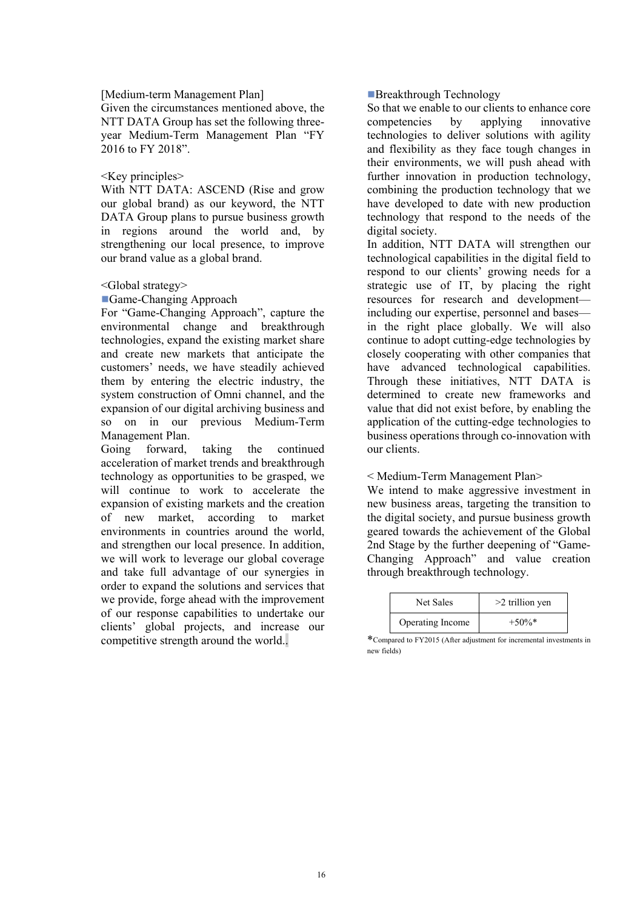#### [Medium-term Management Plan]

Given the circumstances mentioned above, the NTT DATA Group has set the following threeyear Medium-Term Management Plan "FY 2016 to FY 2018".

#### <Key principles>

With NTT DATA: ASCEND (Rise and grow our global brand) as our keyword, the NTT DATA Group plans to pursue business growth in regions around the world and, by strengthening our local presence, to improve our brand value as a global brand.

#### <Global strategy>

■Game-Changing Approach

For "Game-Changing Approach", capture the environmental change and breakthrough technologies, expand the existing market share and create new markets that anticipate the customers' needs, we have steadily achieved them by entering the electric industry, the system construction of Omni channel, and the expansion of our digital archiving business and so on in our previous Medium-Term Management Plan.

Going forward, taking the continued acceleration of market trends and breakthrough technology as opportunities to be grasped, we will continue to work to accelerate the expansion of existing markets and the creation of new market, according to market environments in countries around the world, and strengthen our local presence. In addition, we will work to leverage our global coverage and take full advantage of our synergies in order to expand the solutions and services that we provide, forge ahead with the improvement of our response capabilities to undertake our clients' global projects, and increase our competitive strength around the world..

#### ■Breakthrough Technology

So that we enable to our clients to enhance core competencies by applying innovative technologies to deliver solutions with agility and flexibility as they face tough changes in their environments, we will push ahead with further innovation in production technology, combining the production technology that we have developed to date with new production technology that respond to the needs of the digital society.

In addition, NTT DATA will strengthen our technological capabilities in the digital field to respond to our clients' growing needs for a strategic use of IT, by placing the right resources for research and development including our expertise, personnel and bases in the right place globally. We will also continue to adopt cutting-edge technologies by closely cooperating with other companies that have advanced technological capabilities. Through these initiatives, NTT DATA is determined to create new frameworks and value that did not exist before, by enabling the application of the cutting-edge technologies to business operations through co-innovation with our clients.

#### < Medium-Term Management Plan>

We intend to make aggressive investment in new business areas, targeting the transition to the digital society, and pursue business growth geared towards the achievement of the Global 2nd Stage by the further deepening of "Game-Changing Approach" and value creation through breakthrough technology.

| <b>Net Sales</b> | $>2$ trillion yen |
|------------------|-------------------|
| Operating Income | $+50\%$ *         |

\*Compared to FY2015 (After adjustment for incremental investments in new fields)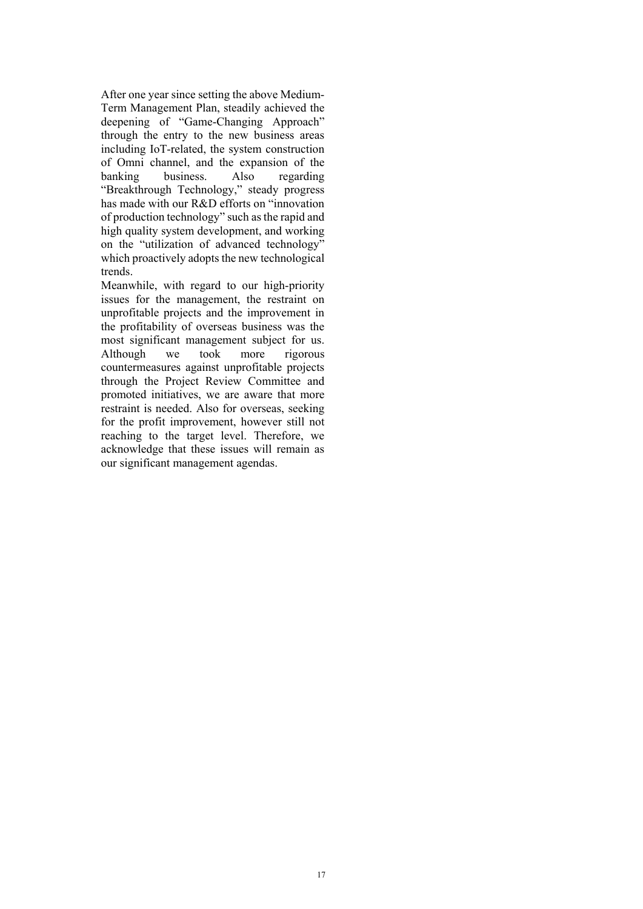After one year since setting the above Medium- Term Management Plan, steadily achieved the deepening of "Game-Changing Approach" through the entry to the new business areas including IoT-related, the system construction of Omni channel, and the expansion of the banking business. Also regarding "Breakthrough Technology," steady progress has made with our R&D efforts on "innovation of production technology" such as the rapid and high quality system development, and working on the "utilization of advanced technology" which proactively adopts the new technological trends.

Meanwhile, with regard to our high-priority issues for the management, the restraint on unprofitable projects and the improvement in the profitability of overseas business was the most significant management subject for us. Although we took more rigorous countermeasures against unprofitable projects through the Project Review Committee and promoted initiatives, we are aware that more restraint is needed. Also for overseas, seeking for the profit improvement, however still not reaching to the target level. Therefore, we acknowledge that these issues will remain as our significant management agendas.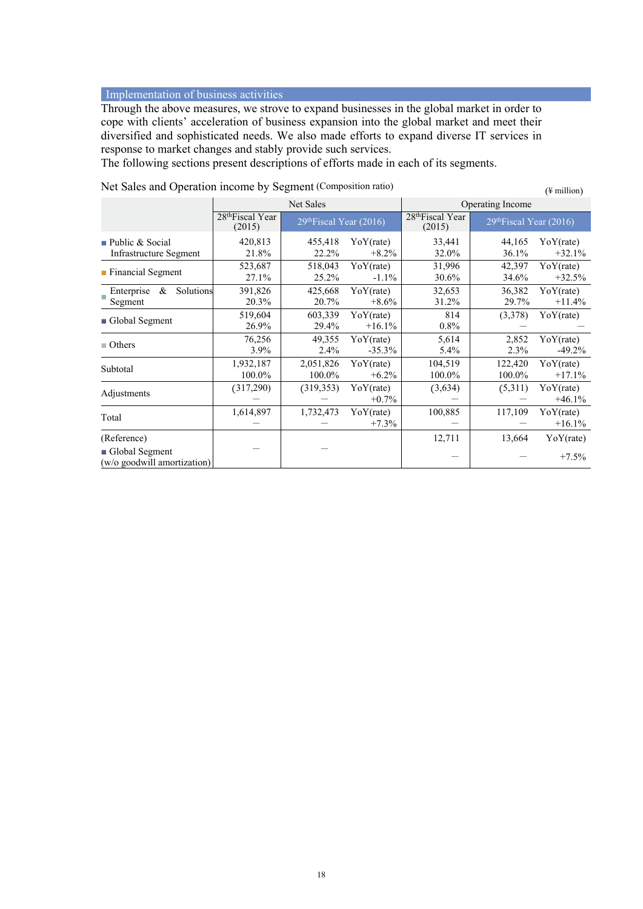#### Implementation of business activities

Through the above measures, we strove to expand businesses in the global market in order to cope with clients' acceleration of business expansion into the global market and meet their diversified and sophisticated needs. We also made efforts to expand diverse IT services in response to market changes and stably provide such services.

The following sections present descriptions of efforts made in each of its segments.

|                                                              |                                        |                                     |                       |                                        |                                     | $(\pm \min \nu)$      |  |
|--------------------------------------------------------------|----------------------------------------|-------------------------------------|-----------------------|----------------------------------------|-------------------------------------|-----------------------|--|
|                                                              | Net Sales                              |                                     |                       |                                        | Operating Income                    |                       |  |
|                                                              | 28 <sup>th</sup> Fiscal Year<br>(2015) | 29 <sup>th</sup> Fiscal Year (2016) |                       | 28 <sup>th</sup> Fiscal Year<br>(2015) | 29 <sup>th</sup> Fiscal Year (2016) |                       |  |
| $\blacksquare$ Public & Social<br>Infrastructure Segment     | 420,813<br>21.8%                       | 455,418<br>22.2%                    | YoY(rate)<br>$+8.2%$  | 33,441<br>32.0%                        | 44,165<br>36.1%                     | YoY(rate)<br>$+32.1%$ |  |
| • Financial Segment                                          | 523,687<br>27.1%                       | 518,043<br>25.2%                    | YoY(rate)<br>$-1.1\%$ | 31,996<br>30.6%                        | 42,397<br>34.6%                     | YoY(rate)<br>$+32.5%$ |  |
| Solutions<br>Enterprise<br>&<br>Segment                      | 391,826<br>20.3%                       | 425,668<br>20.7%                    | YoY(rate)<br>$+8.6\%$ | 32,653<br>31.2%                        | 36,382<br>29.7%                     | YoY(rate)<br>$+11.4%$ |  |
| Global Segment                                               | 519,604<br>26.9%                       | 603,339<br>29.4%                    | YoY(rate)<br>$+16.1%$ | 814<br>0.8%                            | (3,378)                             | YoY(rate)             |  |
| $\blacksquare$ Others                                        | 76,256<br>3.9%                         | 49,355<br>2.4%                      | YoY(rate)<br>$-35.3%$ | 5,614<br>5.4%                          | 2,852<br>2.3%                       | YoY(rate)<br>$-49.2%$ |  |
| Subtotal                                                     | 1,932,187<br>100.0%                    | 2,051,826<br>100.0%                 | YoY(rate)<br>$+6.2\%$ | 104,519<br>100.0%                      | 122,420<br>100.0%                   | YoY(rate)<br>$+17.1%$ |  |
| Adjustments                                                  | (317,290)                              | (319, 353)                          | YoY(rate)<br>$+0.7\%$ | (3,634)                                | (5,311)                             | YoY(rate)<br>$+46.1%$ |  |
| Total                                                        | 1,614,897                              | 1,732,473                           | YoY(rate)<br>$+7.3\%$ | 100,885                                | 117,109                             | YoY(rate)<br>$+16.1%$ |  |
| (Reference)<br>Global Segment<br>(w/o goodwill amortization) |                                        |                                     |                       | 12,711                                 | 13,664                              | YoY(rate)<br>$+7.5%$  |  |
|                                                              |                                        |                                     |                       |                                        |                                     |                       |  |

Net Sales and Operation income by Segment (Composition ratio)  $(4 \text{ million})$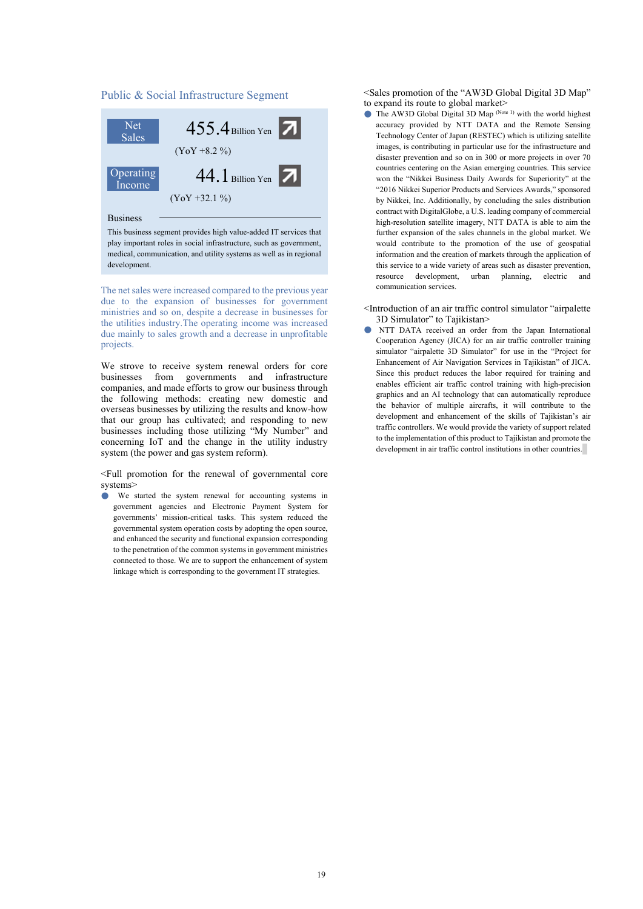#### Public & Social Infrastructure Segment



Business

This business segment provides high value-added IT services that play important roles in social infrastructure, such as government, medical, communication, and utility systems as well as in regional development.

The net sales were increased compared to the previous year due to the expansion of businesses for government ministries and so on, despite a decrease in businesses for the utilities industry.The operating income was increased due mainly to sales growth and a decrease in unprofitable projects.

We strove to receive system renewal orders for core businesses from governments and infrastructure companies, and made efforts to grow our business through the following methods: creating new domestic and overseas businesses by utilizing the results and know-how that our group has cultivated; and responding to new businesses including those utilizing "My Number" and concerning IoT and the change in the utility industry system (the power and gas system reform).

<Full promotion for the renewal of governmental core systems>

● We started the system renewal for accounting systems in government agencies and Electronic Payment System for governments' mission-critical tasks. This system reduced the governmental system operation costs by adopting the open source, and enhanced the security and functional expansion corresponding to the penetration of the common systems in government ministries connected to those. We are to support the enhancement of system linkage which is corresponding to the government IT strategies.

<Sales promotion of the "AW3D Global Digital 3D Map" to expand its route to global market>

- $\bullet$  The AW3D Global Digital 3D Map (Note 1) with the world highest accuracy provided by NTT DATA and the Remote Sensing Technology Center of Japan (RESTEC) which is utilizing satellite images, is contributing in particular use for the infrastructure and disaster prevention and so on in 300 or more projects in over 70 countries centering on the Asian emerging countries. This service won the "Nikkei Business Daily Awards for Superiority" at the "2016 Nikkei Superior Products and Services Awards," sponsored by Nikkei, Inc. Additionally, by concluding the sales distribution contract with DigitalGlobe, a U.S. leading company of commercial high-resolution satellite imagery, NTT DATA is able to aim the further expansion of the sales channels in the global market. We would contribute to the promotion of the use of geospatial information and the creation of markets through the application of this service to a wide variety of areas such as disaster prevention, resource development, urban planning, electric and communication services.
- <Introduction of an air traffic control simulator "airpalette 3D Simulator" to Tajikistan>
- NTT DATA received an order from the Japan International Cooperation Agency (JICA) for an air traffic controller training simulator "airpalette 3D Simulator" for use in the "Project for Enhancement of Air Navigation Services in Tajikistan" of JICA. Since this product reduces the labor required for training and enables efficient air traffic control training with high-precision graphics and an AI technology that can automatically reproduce the behavior of multiple aircrafts, it will contribute to the development and enhancement of the skills of Tajikistan's air traffic controllers. We would provide the variety of support related to the implementation of this product to Tajikistan and promote the development in air traffic control institutions in other countries.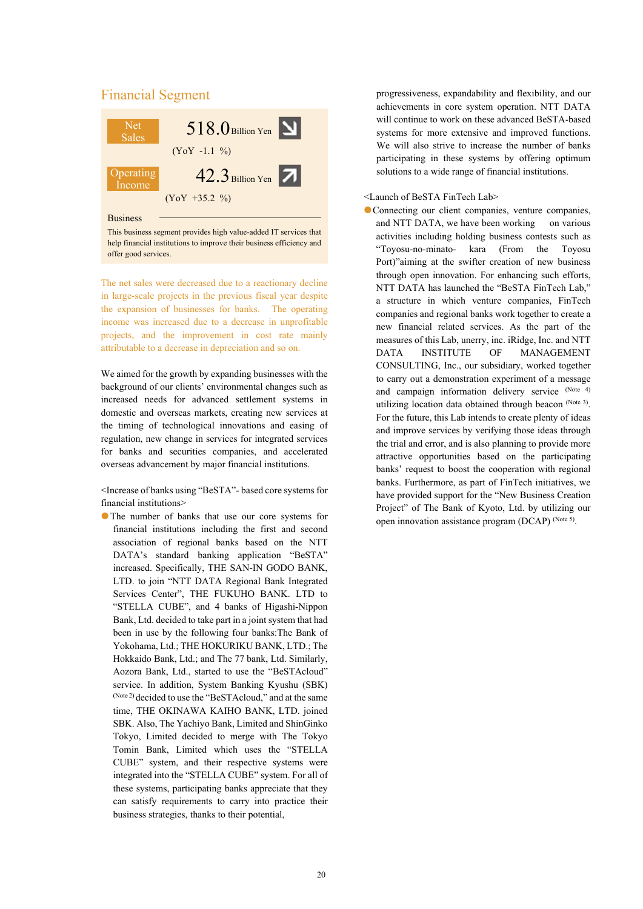

 $(YoY +35.2 \%)$ 

Business

This business segment provides high value-added IT services that help financial institutions to improve their business efficiency and offer good services.

The net sales were decreased due to a reactionary decline in large-scale projects in the previous fiscal year despite the expansion of businesses for banks. The operating income was increased due to a decrease in unprofitable projects, and the improvement in cost rate mainly attributable to a decrease in depreciation and so on.

We aimed for the growth by expanding businesses with the background of our clients' environmental changes such as increased needs for advanced settlement systems in domestic and overseas markets, creating new services at the timing of technological innovations and easing of regulation, new change in services for integrated services for banks and securities companies, and accelerated overseas advancement by major financial institutions.

<Increase of banks using "BeSTA"- based core systems for financial institutions>

●The number of banks that use our core systems for financial institutions including the first and second association of regional banks based on the NTT DATA's standard banking application "BeSTA" increased. Specifically, THE SAN-IN GODO BANK, LTD. to join "NTT DATA Regional Bank Integrated Services Center", THE FUKUHO BANK. LTD to "STELLA CUBE", and 4 banks of Higashi-Nippon Bank, Ltd. decided to take part in a joint system that had been in use by the following four banks:The Bank of Yokohama, Ltd.; THE HOKURIKU BANK, LTD.; The Hokkaido Bank, Ltd.; and The 77 bank, Ltd. Similarly, Aozora Bank, Ltd., started to use the "BeSTAcloud" service. In addition, System Banking Kyushu (SBK) (Note 2) decided to use the "BeSTAcloud," and at the same time, THE OKINAWA KAIHO BANK, LTD. joined SBK. Also, The Yachiyo Bank, Limited and ShinGinko Tokyo, Limited decided to merge with The Tokyo Tomin Bank, Limited which uses the "STELLA CUBE" system, and their respective systems were integrated into the "STELLA CUBE" system. For all of these systems, participating banks appreciate that they can satisfy requirements to carry into practice their business strategies, thanks to their potential,

progressiveness, expandability and flexibility, and our achievements in core system operation. NTT DATA will continue to work on these advanced BeSTA-based systems for more extensive and improved functions. We will also strive to increase the number of banks participating in these systems by offering optimum solutions to a wide range of financial institutions.

#### <Launch of BeSTA FinTech Lab>

●Connecting our client companies, venture companies, and NTT DATA, we have been working on various activities including holding business contests such as "Toyosu-no-minato- kara (From the Toyosu Port)"aiming at the swifter creation of new business through open innovation. For enhancing such efforts, NTT DATA has launched the "BeSTA FinTech Lab," a structure in which venture companies, FinTech companies and regional banks work together to create a new financial related services. As the part of the measures of this Lab, unerry, inc. iRidge, Inc. and NTT DATA INSTITUTE OF MANAGEMENT CONSULTING, Inc., our subsidiary, worked together to carry out a demonstration experiment of a message and campaign information delivery service (Note 4) utilizing location data obtained through beacon (Note 3). For the future, this Lab intends to create plenty of ideas and improve services by verifying those ideas through the trial and error, and is also planning to provide more attractive opportunities based on the participating banks' request to boost the cooperation with regional banks. Furthermore, as part of FinTech initiatives, we have provided support for the "New Business Creation Project" of The Bank of Kyoto, Ltd. by utilizing our open innovation assistance program (DCAP) (Note 5).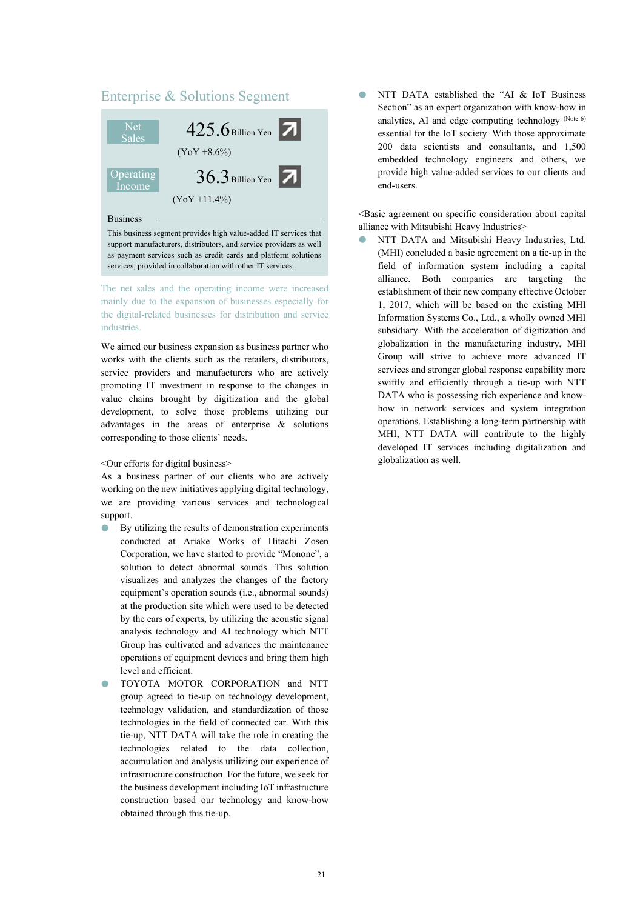## Enterprise & Solutions Segment



This business segment provides high value-added IT services that support manufacturers, distributors, and service providers as well as payment services such as credit cards and platform solutions services, provided in collaboration with other IT services.

The net sales and the operating income were increased mainly due to the expansion of businesses especially for the digital-related businesses for distribution and service **industries** 

We aimed our business expansion as business partner who works with the clients such as the retailers, distributors, service providers and manufacturers who are actively promoting IT investment in response to the changes in value chains brought by digitization and the global development, to solve those problems utilizing our advantages in the areas of enterprise & solutions corresponding to those clients' needs.

<Our efforts for digital business>

As a business partner of our clients who are actively working on the new initiatives applying digital technology, we are providing various services and technological support.

- By utilizing the results of demonstration experiments conducted at Ariake Works of Hitachi Zosen Corporation, we have started to provide "Monone", a solution to detect abnormal sounds. This solution visualizes and analyzes the changes of the factory equipment's operation sounds (i.e., abnormal sounds) at the production site which were used to be detected by the ears of experts, by utilizing the acoustic signal analysis technology and AI technology which NTT Group has cultivated and advances the maintenance operations of equipment devices and bring them high level and efficient.
- TOYOTA MOTOR CORPORATION and NTT group agreed to tie-up on technology development, technology validation, and standardization of those technologies in the field of connected car. With this tie-up, NTT DATA will take the role in creating the technologies related to the data collection, accumulation and analysis utilizing our experience of infrastructure construction. For the future, we seek for the business development including IoT infrastructure construction based our technology and know-how obtained through this tie-up.

NTT DATA established the "AI & IoT Business Section" as an expert organization with know-how in analytics, AI and edge computing technology (Note 6) essential for the IoT society. With those approximate 200 data scientists and consultants, and 1,500 embedded technology engineers and others, we provide high value-added services to our clients and end-users.

<Basic agreement on specific consideration about capital alliance with Mitsubishi Heavy Industries>

NTT DATA and Mitsubishi Heavy Industries, Ltd. (MHI) concluded a basic agreement on a tie-up in the field of information system including a capital alliance. Both companies are targeting the establishment of their new company effective October 1, 2017, which will be based on the existing MHI Information Systems Co., Ltd., a wholly owned MHI subsidiary. With the acceleration of digitization and globalization in the manufacturing industry, MHI Group will strive to achieve more advanced IT services and stronger global response capability more swiftly and efficiently through a tie-up with NTT DATA who is possessing rich experience and knowhow in network services and system integration operations. Establishing a long-term partnership with MHI, NTT DATA will contribute to the highly developed IT services including digitalization and globalization as well.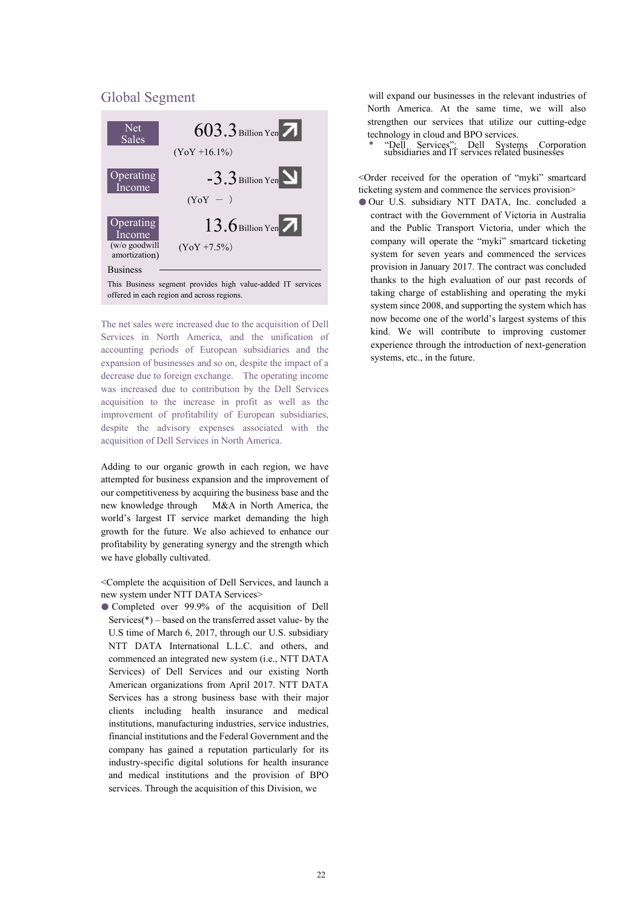#### Global Segment



The net sales were increased due to the acquisition of Dell Services in North America, and the unification of accounting periods of European subsidiaries and the expansion of businesses and so on, despite the impact of a decrease due to foreign exchange. The operating income was increased due to contribution by the Dell Services acquisition to the increase in profit as well as the improvement of profitability of European subsidiaries, despite the advisory expenses associated with the acquisition of Dell Services in North America.

Adding to our organic growth in each region, we have attempted for business expansion and the improvement of our competitiveness by acquiring the business base and the new knowledge through M&A in North America, the world's largest IT service market demanding the high growth for the future. We also achieved to enhance our profitability by generating synergy and the strength which we have globally cultivated.

<Complete the acquisition of Dell Services, and launch a new system under NTT DATA Services>

● Completed over 99.9% of the acquisition of Dell Services( $*$ ) – based on the transferred asset value- by the U.S time of March 6, 2017, through our U.S. subsidiary NTT DATA International L.L.C. and others, and commenced an integrated new system (i.e., NTT DATA Services) of Dell Services and our existing North American organizations from April 2017. NTT DATA Services has a strong business base with their major clients including health insurance and medical institutions, manufacturing industries, service industries, financial institutions and the Federal Government and the company has gained a reputation particularly for its industry-specific digital solutions for health insurance and medical institutions and the provision of BPO services. Through the acquisition of this Division, we

will expand our businesses in the relevant industries of North America. At the same time, we will also strengthen our services that utilize our cutting-edge technology in cloud and BPO services.

\* "Dell Services": Dell Systems Corporation subsidiaries and IT services related businesses

<Order received for the operation of "myki" smartcard ticketing system and commence the services provision>

● Our U.S. subsidiary NTT DATA, Inc. concluded a contract with the Government of Victoria in Australia and the Public Transport Victoria, under which the company will operate the "myki" smartcard ticketing system for seven years and commenced the services provision in January 2017. The contract was concluded thanks to the high evaluation of our past records of taking charge of establishing and operating the myki system since 2008, and supporting the system which has now become one of the world's largest systems of this kind. We will contribute to improving customer experience through the introduction of next-generation systems, etc., in the future.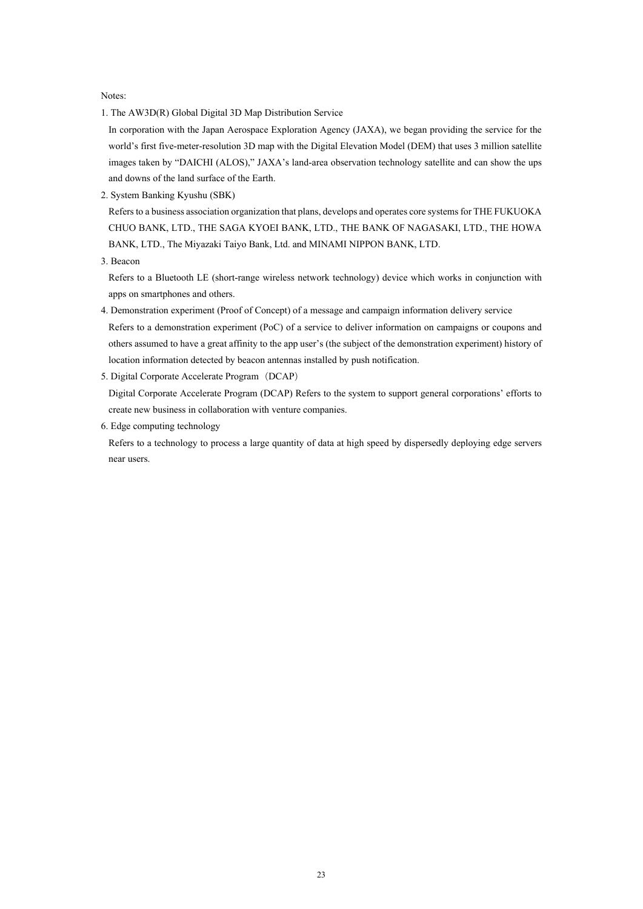Notes:

1. The AW3D(R) Global Digital 3D Map Distribution Service

In corporation with the Japan Aerospace Exploration Agency (JAXA), we began providing the service for the world's first five-meter-resolution 3D map with the Digital Elevation Model (DEM) that uses 3 million satellite images taken by "DAICHI (ALOS)," JAXA's land-area observation technology satellite and can show the ups and downs of the land surface of the Earth.

2. System Banking Kyushu (SBK)

Refers to a business association organization that plans, develops and operates core systems for THE FUKUOKA CHUO BANK, LTD., THE SAGA KYOEI BANK, LTD., THE BANK OF NAGASAKI, LTD., THE HOWA BANK, LTD., The Miyazaki Taiyo Bank, Ltd. and MINAMI NIPPON BANK, LTD.

3. Beacon

Refers to a Bluetooth LE (short-range wireless network technology) device which works in conjunction with apps on smartphones and others.

- 4. Demonstration experiment (Proof of Concept) of a message and campaign information delivery service Refers to a demonstration experiment (PoC) of a service to deliver information on campaigns or coupons and others assumed to have a great affinity to the app user's (the subject of the demonstration experiment) history of location information detected by beacon antennas installed by push notification.
- 5. Digital Corporate Accelerate Program(DCAP)

Digital Corporate Accelerate Program (DCAP) Refers to the system to support general corporations' efforts to create new business in collaboration with venture companies.

6. Edge computing technology

Refers to a technology to process a large quantity of data at high speed by dispersedly deploying edge servers near users.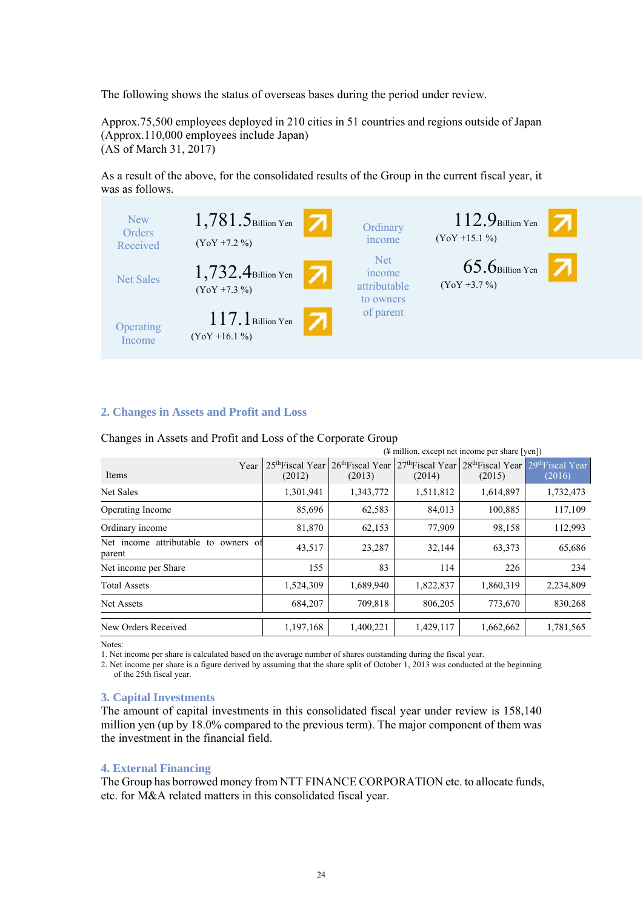The following shows the status of overseas bases during the period under review.

Approx.75,500 employees deployed in 210 cities in 51 countries and regions outside of Japan (Approx.110,000 employees include Japan) (AS of March 31, 2017)

As a result of the above, for the consolidated results of the Group in the current fiscal year, it was as follows.



#### **2. Changes in Assets and Profit and Loss**

| $(\frac{1}{2})$ million, except net income per share [yen]) |           |                                                                     |           |                                                                                                  |           |
|-------------------------------------------------------------|-----------|---------------------------------------------------------------------|-----------|--------------------------------------------------------------------------------------------------|-----------|
| Year<br>Items                                               | (2012)    | 25 <sup>th</sup> Fiscal Year 26 <sup>th</sup> Fiscal Year<br>(2013) | (2014)    | 27 <sup>th</sup> Fiscal Year 28 <sup>th</sup> Fiscal Year 29 <sup>th</sup> Fiscal Year<br>(2015) | (2016)    |
| Net Sales                                                   | 1,301,941 | 1,343,772                                                           | 1,511,812 | 1,614,897                                                                                        | 1,732,473 |
| <b>Operating Income</b>                                     | 85,696    | 62,583                                                              | 84,013    | 100,885                                                                                          | 117,109   |
| Ordinary income                                             | 81,870    | 62,153                                                              | 77,909    | 98,158                                                                                           | 112,993   |
| Net income attributable to owners of<br>parent              | 43,517    | 23,287                                                              | 32,144    | 63,373                                                                                           | 65,686    |
| Net income per Share                                        | 155       | 83                                                                  | 114       | 226                                                                                              | 234       |
| <b>Total Assets</b>                                         | 1,524,309 | 1,689,940                                                           | 1,822,837 | 1,860,319                                                                                        | 2,234,809 |
| Net Assets                                                  | 684,207   | 709,818                                                             | 806,205   | 773,670                                                                                          | 830,268   |
| New Orders Received                                         | 1,197,168 | 1,400,221                                                           | 1,429,117 | 1,662,662                                                                                        | 1,781,565 |

Changes in Assets and Profit and Loss of the Corporate Group

Notes:

1. Net income per share is calculated based on the average number of shares outstanding during the fiscal year.

2. Net income per share is a figure derived by assuming that the share split of October 1, 2013 was conducted at the beginning of the 25th fiscal year.

#### **3. Capital Investments**

The amount of capital investments in this consolidated fiscal year under review is 158,140 million yen (up by 18.0% compared to the previous term). The major component of them was the investment in the financial field.

#### **4. External Financing**

The Group has borrowed money from NTT FINANCE CORPORATION etc. to allocate funds, etc. for M&A related matters in this consolidated fiscal year.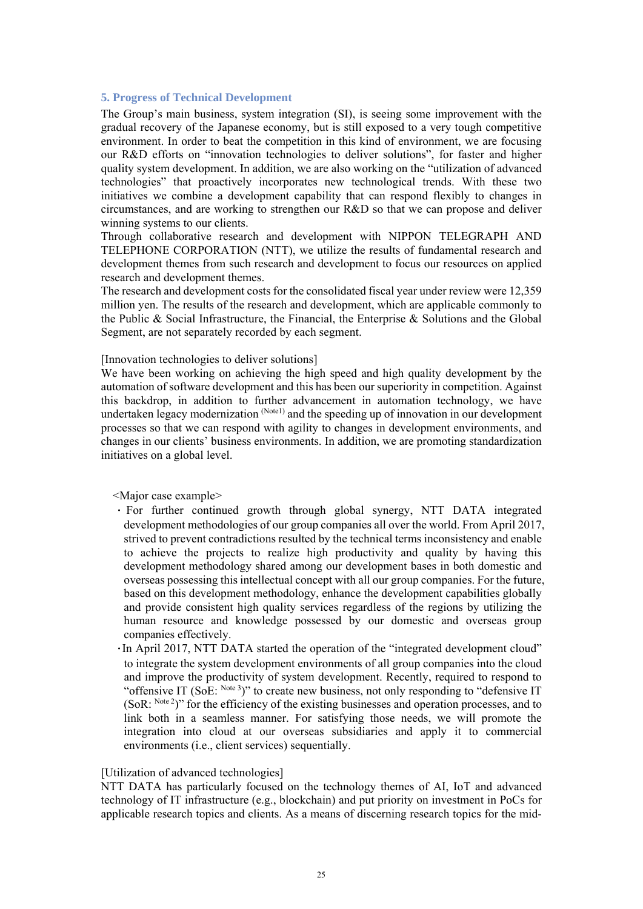#### **5. Progress of Technical Development**

The Group's main business, system integration (SI), is seeing some improvement with the gradual recovery of the Japanese economy, but is still exposed to a very tough competitive environment. In order to beat the competition in this kind of environment, we are focusing our R&D efforts on "innovation technologies to deliver solutions", for faster and higher quality system development. In addition, we are also working on the "utilization of advanced technologies" that proactively incorporates new technological trends. With these two initiatives we combine a development capability that can respond flexibly to changes in circumstances, and are working to strengthen our R&D so that we can propose and deliver winning systems to our clients.

Through collaborative research and development with NIPPON TELEGRAPH AND TELEPHONE CORPORATION (NTT), we utilize the results of fundamental research and development themes from such research and development to focus our resources on applied research and development themes.

The research and development costs for the consolidated fiscal year under review were 12,359 million yen. The results of the research and development, which are applicable commonly to the Public & Social Infrastructure, the Financial, the Enterprise & Solutions and the Global Segment, are not separately recorded by each segment.

#### [Innovation technologies to deliver solutions]

We have been working on achieving the high speed and high quality development by the automation of software development and this has been our superiority in competition. Against this backdrop, in addition to further advancement in automation technology, we have undertaken legacy modernization (Notel) and the speeding up of innovation in our development processes so that we can respond with agility to changes in development environments, and changes in our clients' business environments. In addition, we are promoting standardization initiatives on a global level.

<Major case example>

- ・ For further continued growth through global synergy, NTT DATA integrated development methodologies of our group companies all over the world. From April 2017, strived to prevent contradictions resulted by the technical terms inconsistency and enable to achieve the projects to realize high productivity and quality by having this development methodology shared among our development bases in both domestic and overseas possessing this intellectual concept with all our group companies. For the future, based on this development methodology, enhance the development capabilities globally and provide consistent high quality services regardless of the regions by utilizing the human resource and knowledge possessed by our domestic and overseas group companies effectively.
- ・In April 2017, NTT DATA started the operation of the "integrated development cloud" to integrate the system development environments of all group companies into the cloud and improve the productivity of system development. Recently, required to respond to "offensive IT (SoE: Note 3)" to create new business, not only responding to "defensive IT (SoR: Note 2)" for the efficiency of the existing businesses and operation processes, and to link both in a seamless manner. For satisfying those needs, we will promote the integration into cloud at our overseas subsidiaries and apply it to commercial environments (i.e., client services) sequentially.

#### [Utilization of advanced technologies]

NTT DATA has particularly focused on the technology themes of AI, IoT and advanced technology of IT infrastructure (e.g., blockchain) and put priority on investment in PoCs for applicable research topics and clients. As a means of discerning research topics for the mid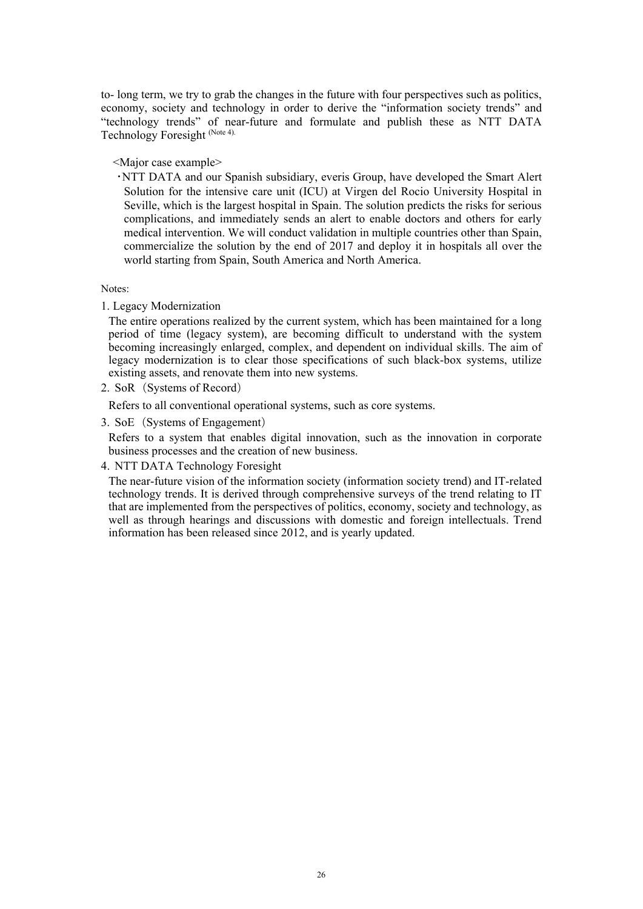to- long term, we try to grab the changes in the future with four perspectives such as politics, economy, society and technology in order to derive the "information society trends" and "technology trends" of near-future and formulate and publish these as NTT DATA Technology Foresight (Note 4).

<Major case example>

・NTT DATA and our Spanish subsidiary, everis Group, have developed the Smart Alert Solution for the intensive care unit (ICU) at Virgen del Rocio University Hospital in Seville, which is the largest hospital in Spain. The solution predicts the risks for serious complications, and immediately sends an alert to enable doctors and others for early medical intervention. We will conduct validation in multiple countries other than Spain, commercialize the solution by the end of 2017 and deploy it in hospitals all over the world starting from Spain, South America and North America.

Notes:

1. Legacy Modernization

The entire operations realized by the current system, which has been maintained for a long period of time (legacy system), are becoming difficult to understand with the system becoming increasingly enlarged, complex, and dependent on individual skills. The aim of legacy modernization is to clear those specifications of such black-box systems, utilize existing assets, and renovate them into new systems.

2. SoR (Systems of Record)

Refers to all conventional operational systems, such as core systems.

3. SoE(Systems of Engagement)

Refers to a system that enables digital innovation, such as the innovation in corporate business processes and the creation of new business.

4. NTT DATA Technology Foresight

The near-future vision of the information society (information society trend) and IT-related technology trends. It is derived through comprehensive surveys of the trend relating to IT that are implemented from the perspectives of politics, economy, society and technology, as well as through hearings and discussions with domestic and foreign intellectuals. Trend information has been released since 2012, and is yearly updated.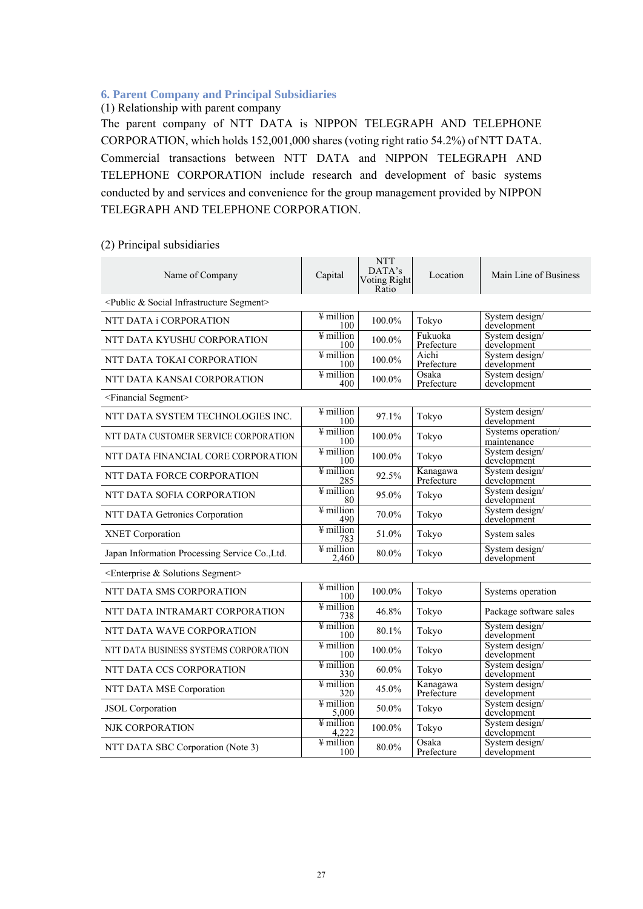#### **6. Parent Company and Principal Subsidiaries**

### (1) Relationship with parent company

The parent company of NTT DATA is NIPPON TELEGRAPH AND TELEPHONE CORPORATION, which holds 152,001,000 shares (voting right ratio 54.2%) of NTT DATA. Commercial transactions between NTT DATA and NIPPON TELEGRAPH AND TELEPHONE CORPORATION include research and development of basic systems conducted by and services and convenience for the group management provided by NIPPON TELEGRAPH AND TELEPHONE CORPORATION.

| Name of Company                                               | Capital                              | <b>NTT</b><br>DATA's<br><b>Voting Right</b><br>Ratio | Location               | Main Line of Business             |
|---------------------------------------------------------------|--------------------------------------|------------------------------------------------------|------------------------|-----------------------------------|
| <public &="" infrastructure="" segment="" social=""></public> |                                      |                                                      |                        |                                   |
| NTT DATA i CORPORATION                                        | $\frac{1}{2}$ million<br>100         | 100.0%                                               | Tokyo                  | System design/<br>development     |
| NTT DATA KYUSHU CORPORATION                                   | $\overline{\text{y}}$ million<br>100 | $100.0\%$                                            | Fukuoka<br>Prefecture  | System design/<br>development     |
| NTT DATA TOKAI CORPORATION                                    | $\overline{\text{y}}$ million<br>100 | 100.0%                                               | Aichi<br>Prefecture    | System design/<br>development     |
| NTT DATA KANSAI CORPORATION                                   | $\overline{\text{y}}$ million<br>400 | 100.0%                                               | Osaka<br>Prefecture    | System design/<br>development     |
| <financial segment=""></financial>                            |                                      |                                                      |                        |                                   |
| NTT DATA SYSTEM TECHNOLOGIES INC.                             | ¥ million<br>100                     | 97.1%                                                | Tokyo                  | System design/<br>development     |
| NTT DATA CUSTOMER SERVICE CORPORATION                         | $\frac{1}{2}$ million<br>100         | 100.0%                                               | Tokyo                  | Systems operation/<br>maintenance |
| NTT DATA FINANCIAL CORE CORPORATION                           | $\frac{1}{2}$ million<br>100         | 100.0%                                               | Tokyo                  | System design/<br>development     |
| NTT DATA FORCE CORPORATION                                    | $\frac{1}{4}$ million<br>285         | 92.5%                                                | Kanagawa<br>Prefecture | System design/<br>development     |
| NTT DATA SOFIA CORPORATION                                    | $\frac{1}{2}$ million<br>80          | 95.0%                                                | Tokyo                  | System design/<br>development     |
| NTT DATA Getronics Corporation                                | $\frac{1}{2}$ million<br>490         | 70.0%                                                | Tokyo                  | System design/<br>development     |
| <b>XNET Corporation</b>                                       | $\frac{1}{2}$ million<br>783         | 51.0%                                                | Tokyo                  | System sales                      |
| Japan Information Processing Service Co., Ltd.                | $\frac{1}{2}$ million<br>2.460       | 80.0%                                                | Tokyo                  | System design/<br>development     |
| $\leq$ Enterprise & Solutions Segment>                        |                                      |                                                      |                        |                                   |
| NTT DATA SMS CORPORATION                                      | $\frac{1}{2}$ million<br>100         | 100.0%                                               | Tokyo                  | Systems operation                 |
| NTT DATA INTRAMART CORPORATION                                | $\frac{1}{2}$ million<br>738         | 46.8%                                                | Tokyo                  | Package software sales            |
| NTT DATA WAVE CORPORATION                                     | $\frac{1}{2}$ million<br>100         | 80.1%                                                | Tokyo                  | System design/<br>development     |
| NTT DATA BUSINESS SYSTEMS CORPORATION                         | $\frac{1}{2}$ million<br>100         | 100.0%                                               | Tokyo                  | System design/<br>development     |
| NTT DATA CCS CORPORATION                                      | $\frac{1}{2}$ million<br>330         | $60.0\%$                                             | Tokyo                  | System design/<br>development     |
| NTT DATA MSE Corporation                                      | $\frac{1}{2}$ million<br>320         | 45.0%                                                | Kanagawa<br>Prefecture | System design/<br>development     |
| <b>JSOL</b> Corporation                                       | $\frac{1}{2}$ million<br>5,000       | 50.0%                                                | Tokyo                  | System design/<br>development     |
| NJK CORPORATION                                               | $\overline{4}$ million<br>4,222      | 100.0%                                               | Tokyo                  | System design/<br>development     |
| NTT DATA SBC Corporation (Note 3)                             | $\frac{1}{2}$ million<br>100         | 80.0%                                                | Osaka<br>Prefecture    | System design/<br>development     |

#### (2) Principal subsidiaries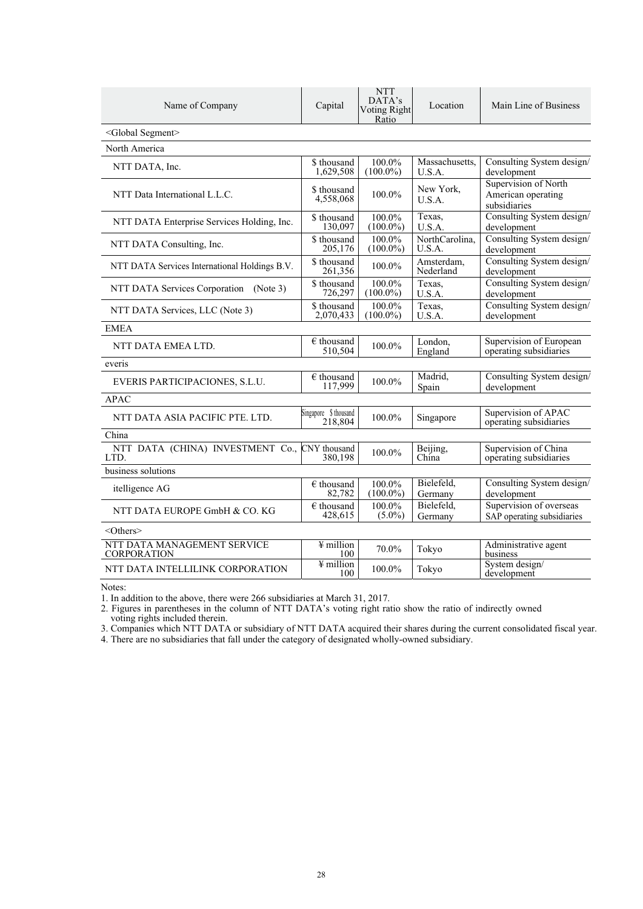| Name of Company                                   | Capital                          | <b>NTT</b><br>DATA's<br><b>Voting Right</b><br>Ratio | Location                 | Main Line of Business                                      |
|---------------------------------------------------|----------------------------------|------------------------------------------------------|--------------------------|------------------------------------------------------------|
| <global segment=""></global>                      |                                  |                                                      |                          |                                                            |
| North America                                     |                                  |                                                      |                          |                                                            |
| NTT DATA, Inc.                                    | \$ thousand<br>1,629,508         | 100.0%<br>$(100.0\%)$                                | Massachusetts,<br>U.S.A. | Consulting System design/<br>development                   |
| NTT Data International L.L.C.                     | \$ thousand<br>4,558,068         | 100.0%                                               | New York,<br>U.S.A.      | Supervision of North<br>American operating<br>subsidiaries |
| NTT DATA Enterprise Services Holding, Inc.        | \$ thousand<br>130,097           | 100.0%<br>$(100.0\%)$                                | Texas,<br>U.S.A.         | Consulting System design/<br>development                   |
| NTT DATA Consulting, Inc.                         | \$ thousand<br>205,176           | 100.0%<br>$(100.0\%)$                                | NorthCarolina,<br>U.S.A. | Consulting System design/<br>development                   |
| NTT DATA Services International Holdings B.V.     | \$ thousand<br>261,356           | 100.0%                                               | Amsterdam,<br>Nederland  | Consulting System design/<br>development                   |
| NTT DATA Services Corporation (Note 3)            | \$ thousand<br>726,297           | 100.0%<br>$(100.0\%)$                                | Texas.<br>U.S.A.         | Consulting System design/<br>development                   |
| NTT DATA Services, LLC (Note 3)                   | \$ thousand<br>2,070,433         | 100.0%<br>$(100.0\%)$                                | Texas,<br>U.S.A.         | Consulting System design/<br>development                   |
| <b>EMEA</b>                                       |                                  |                                                      |                          |                                                            |
| NTT DATA EMEA LTD.                                | $\in$ thousand<br>510,504        | 100.0%                                               | London,<br>England       | Supervision of European<br>operating subsidiaries          |
| everis                                            |                                  |                                                      |                          |                                                            |
| EVERIS PARTICIPACIONES, S.L.U.                    | $\epsilon$ thousand<br>117,999   | $100.0\%$                                            | Madrid.<br>Spain         | Consulting System design/<br>development                   |
| <b>APAC</b>                                       |                                  |                                                      |                          |                                                            |
| NTT DATA ASIA PACIFIC PTE. LTD.                   | Singapore \$ thousand<br>218,804 | 100.0%                                               | Singapore                | Supervision of APAC<br>operating subsidiaries              |
| China                                             |                                  |                                                      |                          |                                                            |
| NTT DATA (CHINA) INVESTMENT Co.,<br>LTD.          | CNY thousand<br>380.198          | 100.0%                                               | Beijing,<br>China        | Supervision of China<br>operating subsidiaries             |
| business solutions                                |                                  |                                                      |                          |                                                            |
| itelligence AG                                    | $\epsilon$ thousand<br>82,782    | 100.0%<br>$(100.0\%)$                                | Bielefeld.<br>Germany    | Consulting System design/<br>development                   |
| NTT DATA EUROPE GmbH & CO. KG                     | $\epsilon$ thousand<br>428,615   | 100.0%<br>$(5.0\%)$                                  | Bielefeld,<br>Germany    | Supervision of overseas<br>SAP operating subsidiaries      |
| $<$ Others $>$                                    |                                  |                                                      |                          |                                                            |
| NTT DATA MANAGEMENT SERVICE<br><b>CORPORATION</b> | $\frac{1}{2}$ million<br>100     | 70.0%                                                | Tokyo                    | Administrative agent<br>business                           |
| NTT DATA INTELLILINK CORPORATION                  | $\frac{1}{2}$ million<br>100     | 100.0%                                               | Tokyo                    | System design/<br>development                              |

Notes:

1. In addition to the above, there were 266 subsidiaries at March 31, 2017.

2. Figures in parentheses in the column of NTT DATA's voting right ratio show the ratio of indirectly owned voting rights included therein.

3. Companies which NTT DATA or subsidiary of NTT DATA acquired their shares during the current consolidated fiscal year.

4. There are no subsidiaries that fall under the category of designated wholly-owned subsidiary.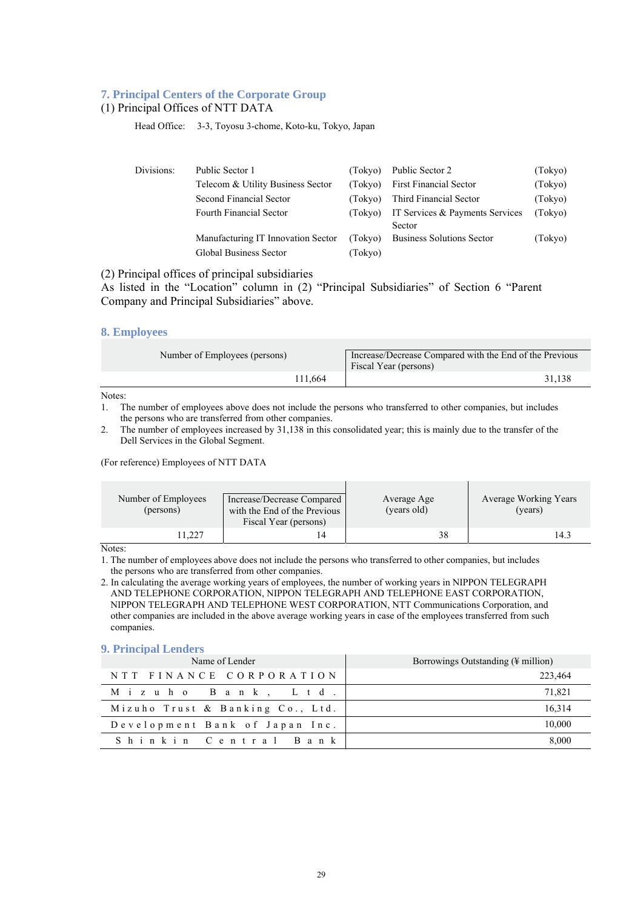#### **7. Principal Centers of the Corporate Group**

#### (1) Principal Offices of NTT DATA

Head Office: 3-3, Toyosu 3-chome, Koto-ku, Tokyo, Japan

| Divisions: | Public Sector 1                    | (Tokvo) | Public Sector 2                  | (Tokyo) |
|------------|------------------------------------|---------|----------------------------------|---------|
|            | Telecom & Utility Business Sector  | (Tokvo) | <b>First Financial Sector</b>    | (Tokyo) |
|            | Second Financial Sector            | (Tokvo) | Third Financial Sector           | (Tokyo) |
|            | Fourth Financial Sector            | (Tokyo) | IT Services & Payments Services  | (Tokyo) |
|            |                                    |         | Sector                           |         |
|            | Manufacturing IT Innovation Sector | (Tokyo) | <b>Business Solutions Sector</b> | (Tokyo) |
|            | Global Business Sector             | (Tokyo) |                                  |         |

(2) Principal offices of principal subsidiaries

As listed in the "Location" column in (2) "Principal Subsidiaries" of Section 6 "Parent Company and Principal Subsidiaries" above.

#### **8. Employees**

| Number of Employees (persons) | Increase/Decrease Compared with the End of the Previous<br>Fiscal Year (persons) |  |
|-------------------------------|----------------------------------------------------------------------------------|--|
| 111.664                       | 31.138                                                                           |  |

Notes:

- 1. The number of employees above does not include the persons who transferred to other companies, but includes the persons who are transferred from other companies.
- 2. The number of employees increased by 31,138 in this consolidated year; this is mainly due to the transfer of the Dell Services in the Global Segment.

#### (For reference) Employees of NTT DATA

| Number of Employees<br>(persons) | Increase/Decrease Compared<br>with the End of the Previous<br>Fiscal Year (persons) | Average Age<br>(years old) | Average Working Years<br>(years) |
|----------------------------------|-------------------------------------------------------------------------------------|----------------------------|----------------------------------|
| 1.227                            |                                                                                     | 38                         | 14.3                             |

Notes:

1. The number of employees above does not include the persons who transferred to other companies, but includes the persons who are transferred from other companies.

2. In calculating the average working years of employees, the number of working years in NIPPON TELEGRAPH AND TELEPHONE CORPORATION, NIPPON TELEGRAPH AND TELEPHONE EAST CORPORATION, NIPPON TELEGRAPH AND TELEPHONE WEST CORPORATION, NTT Communications Corporation, and other companies are included in the above average working years in case of the employees transferred from such companies.

#### **9. Principal Lenders**

| Name of Lender                   | Borrowings Outstanding $(\frac{1}{2})$ million |  |
|----------------------------------|------------------------------------------------|--|
| NTT FINANCE CORPORATION          | 223,464                                        |  |
| Mizuho Bank, Ltd.                | 71.821                                         |  |
| Mizuho Trust & Banking Co., Ltd. | 16,314                                         |  |
| Development Bank of Japan Inc.   | 10,000                                         |  |
| Shinkin Central Bank             | 8,000                                          |  |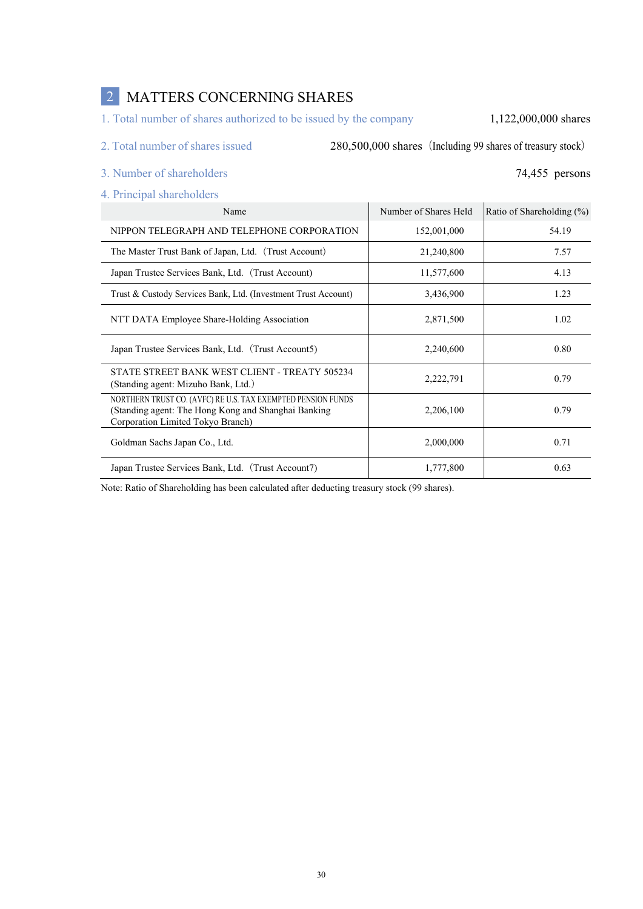# 2 MATTERS CONCERNING SHARES

1. Total number of shares authorized to be issued by the company 1,122,000,000 shares

2. Total number of shares issued 280,500,000 shares (Including 99 shares of treasury stock)

- 3. Number of shareholders 74,455 persons
- 4. Principal shareholders

| Name                                                                                                                                                     | Number of Shares Held | Ratio of Shareholding $(\%)$ |
|----------------------------------------------------------------------------------------------------------------------------------------------------------|-----------------------|------------------------------|
| NIPPON TELEGRAPH AND TELEPHONE CORPORATION                                                                                                               | 152,001,000           | 54.19                        |
| The Master Trust Bank of Japan, Ltd. (Trust Account)                                                                                                     | 21,240,800            | 7.57                         |
| Japan Trustee Services Bank, Ltd. (Trust Account)                                                                                                        | 11,577,600            | 4.13                         |
| Trust & Custody Services Bank, Ltd. (Investment Trust Account)                                                                                           | 3,436,900             | 1.23                         |
| NTT DATA Employee Share-Holding Association                                                                                                              | 2,871,500             | 1.02                         |
| Japan Trustee Services Bank, Ltd. (Trust Account5)                                                                                                       | 2,240,600             | 0.80                         |
| STATE STREET BANK WEST CLIENT - TREATY 505234<br>(Standing agent: Mizuho Bank, Ltd.)                                                                     | 2,222,791             | 0.79                         |
| NORTHERN TRUST CO. (AVFC) RE U.S. TAX EXEMPTED PENSION FUNDS<br>(Standing agent: The Hong Kong and Shanghai Banking<br>Corporation Limited Tokyo Branch) | 2,206,100             | 0.79                         |
| Goldman Sachs Japan Co., Ltd.                                                                                                                            | 2,000,000             | 0.71                         |
| Japan Trustee Services Bank, Ltd. (Trust Account7)                                                                                                       | 1,777,800             | 0.63                         |

Note: Ratio of Shareholding has been calculated after deducting treasury stock (99 shares).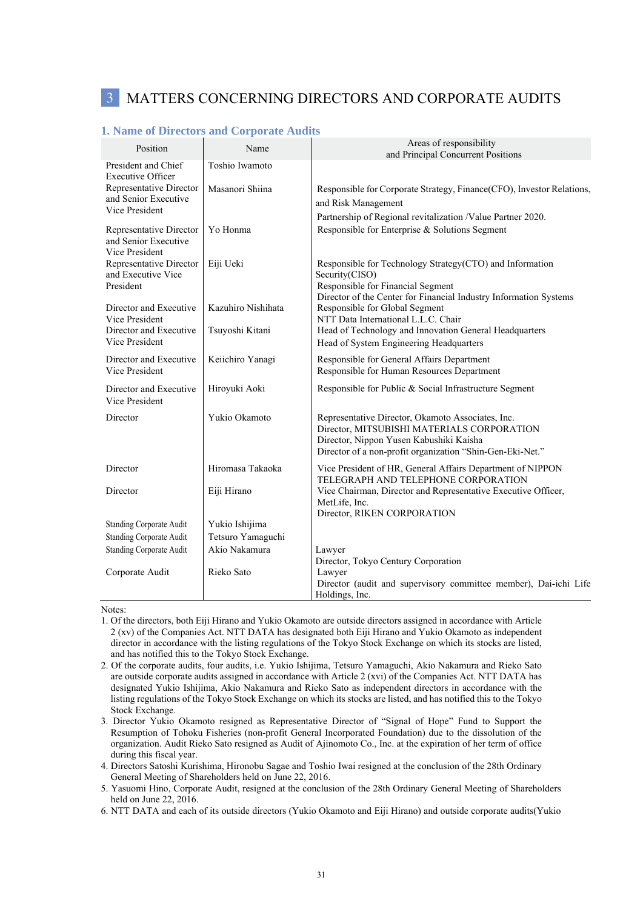# 3 MATTERS CONCERNING DIRECTORS AND CORPORATE AUDITS

|                                                                   | 1. Raine of Directors and Corporate Addits |                                                                                                                                                                                                         |
|-------------------------------------------------------------------|--------------------------------------------|---------------------------------------------------------------------------------------------------------------------------------------------------------------------------------------------------------|
| Position                                                          | Name                                       | Areas of responsibility<br>and Principal Concurrent Positions                                                                                                                                           |
| President and Chief<br><b>Executive Officer</b>                   | Toshio Iwamoto                             |                                                                                                                                                                                                         |
| Representative Director<br>and Senior Executive                   | Masanori Shiina                            | Responsible for Corporate Strategy, Finance(CFO), Investor Relations,<br>and Risk Management                                                                                                            |
| Vice President                                                    |                                            | Partnership of Regional revitalization /Value Partner 2020.                                                                                                                                             |
| Representative Director<br>and Senior Executive<br>Vice President | Yo Honma                                   | Responsible for Enterprise & Solutions Segment                                                                                                                                                          |
| Representative Director<br>and Executive Vice<br>President        | Eiji Ueki                                  | Responsible for Technology Strategy(CTO) and Information<br>Security(CISO)<br>Responsible for Financial Segment                                                                                         |
| Director and Executive<br>Vice President                          | Kazuhiro Nishihata                         | Director of the Center for Financial Industry Information Systems<br>Responsible for Global Segment<br>NTT Data International L.L.C. Chair                                                              |
| Director and Executive<br>Vice President                          | Tsuyoshi Kitani                            | Head of Technology and Innovation General Headquarters<br>Head of System Engineering Headquarters                                                                                                       |
| Director and Executive<br>Vice President                          | Keiichiro Yanagi                           | Responsible for General Affairs Department<br>Responsible for Human Resources Department                                                                                                                |
| Director and Executive<br>Vice President                          | Hiroyuki Aoki                              | Responsible for Public & Social Infrastructure Segment                                                                                                                                                  |
| Director                                                          | Yukio Okamoto                              | Representative Director, Okamoto Associates, Inc.<br>Director, MITSUBISHI MATERIALS CORPORATION<br>Director, Nippon Yusen Kabushiki Kaisha<br>Director of a non-profit organization "Shin-Gen-Eki-Net." |
| Director                                                          | Hiromasa Takaoka                           | Vice President of HR, General Affairs Department of NIPPON<br>TELEGRAPH AND TELEPHONE CORPORATION                                                                                                       |
| Director                                                          | Eiji Hirano                                | Vice Chairman, Director and Representative Executive Officer,<br>MetLife, Inc.<br>Director, RIKEN CORPORATION                                                                                           |
| Standing Corporate Audit                                          | Yukio Ishijima                             |                                                                                                                                                                                                         |
| Standing Corporate Audit                                          | Tetsuro Yamaguchi                          |                                                                                                                                                                                                         |
| <b>Standing Corporate Audit</b>                                   | Akio Nakamura                              | Lawyer<br>Director, Tokyo Century Corporation                                                                                                                                                           |
| Corporate Audit                                                   | Rieko Sato                                 | Lawyer<br>Director (audit and supervisory committee member), Dai-ichi Life<br>Holdings, Inc.                                                                                                            |

#### **1. Name of Directors and Corporate Audits**

Notes:

- 1. Of the directors, both Eiji Hirano and Yukio Okamoto are outside directors assigned in accordance with Article 2 (xv) of the Companies Act. NTT DATA has designated both Eiji Hirano and Yukio Okamoto as independent director in accordance with the listing regulations of the Tokyo Stock Exchange on which its stocks are listed, and has notified this to the Tokyo Stock Exchange.
- 2. Of the corporate audits, four audits, i.e. Yukio Ishijima, Tetsuro Yamaguchi, Akio Nakamura and Rieko Sato are outside corporate audits assigned in accordance with Article 2 (xvi) of the Companies Act. NTT DATA has designated Yukio Ishijima, Akio Nakamura and Rieko Sato as independent directors in accordance with the listing regulations of the Tokyo Stock Exchange on which its stocks are listed, and has notified this to the Tokyo Stock Exchange.
- 3. Director Yukio Okamoto resigned as Representative Director of "Signal of Hope" Fund to Support the Resumption of Tohoku Fisheries (non-profit General Incorporated Foundation) due to the dissolution of the organization. Audit Rieko Sato resigned as Audit of Ajinomoto Co., Inc. at the expiration of her term of office during this fiscal year.
- 4. Directors Satoshi Kurishima, Hironobu Sagae and Toshio Iwai resigned at the conclusion of the 28th Ordinary General Meeting of Shareholders held on June 22, 2016.
- 5. Yasuomi Hino, Corporate Audit, resigned at the conclusion of the 28th Ordinary General Meeting of Shareholders held on June 22, 2016.
- 6. NTT DATA and each of its outside directors (Yukio Okamoto and Eiji Hirano) and outside corporate audits(Yukio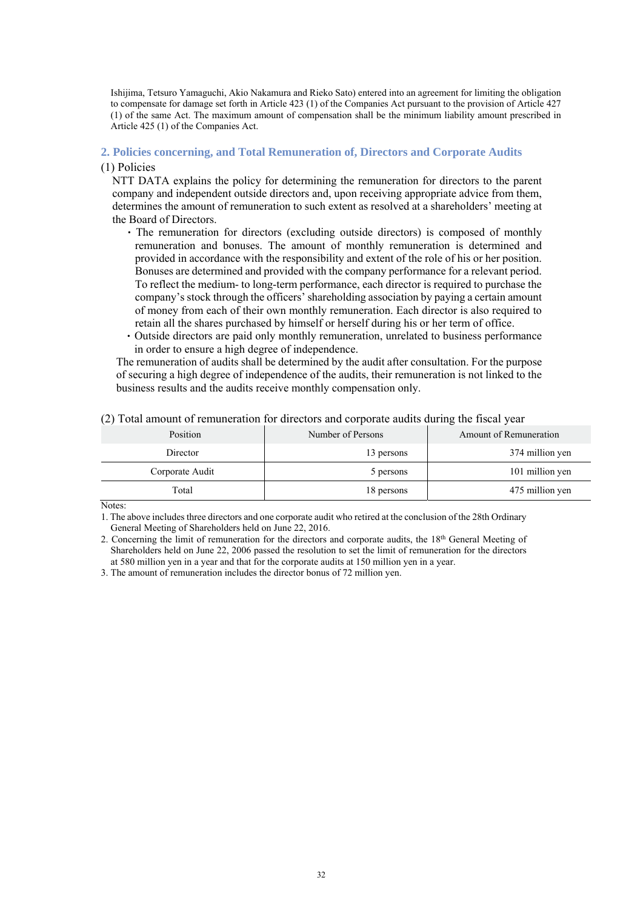Ishijima, Tetsuro Yamaguchi, Akio Nakamura and Rieko Sato) entered into an agreement for limiting the obligation to compensate for damage set forth in Article 423 (1) of the Companies Act pursuant to the provision of Article 427 (1) of the same Act. The maximum amount of compensation shall be the minimum liability amount prescribed in Article 425 (1) of the Companies Act.

#### **2. Policies concerning, and Total Remuneration of, Directors and Corporate Audits**

#### (1) Policies

NTT DATA explains the policy for determining the remuneration for directors to the parent company and independent outside directors and, upon receiving appropriate advice from them, determines the amount of remuneration to such extent as resolved at a shareholders' meeting at the Board of Directors.

- ・The remuneration for directors (excluding outside directors) is composed of monthly remuneration and bonuses. The amount of monthly remuneration is determined and provided in accordance with the responsibility and extent of the role of his or her position. Bonuses are determined and provided with the company performance for a relevant period. To reflect the medium- to long-term performance, each director is required to purchase the company's stock through the officers' shareholding association by paying a certain amount of money from each of their own monthly remuneration. Each director is also required to retain all the shares purchased by himself or herself during his or her term of office.
- ・Outside directors are paid only monthly remuneration, unrelated to business performance in order to ensure a high degree of independence.

The remuneration of audits shall be determined by the audit after consultation. For the purpose of securing a high degree of independence of the audits, their remuneration is not linked to the business results and the audits receive monthly compensation only.

| Position        | Number of Persons | ັ<br>Amount of Remuneration |
|-----------------|-------------------|-----------------------------|
| Director        | 13 persons        | 374 million yen             |
| Corporate Audit | 5 persons         | 101 million yen             |
| Total           | 18 persons        | 475 million yen             |

#### (2) Total amount of remuneration for directors and corporate audits during the fiscal year

Notes:

1. The above includes three directors and one corporate audit who retired at the conclusion of the 28th Ordinary General Meeting of Shareholders held on June 22, 2016.

3. The amount of remuneration includes the director bonus of 72 million yen.

<sup>2.</sup> Concerning the limit of remuneration for the directors and corporate audits, the 18<sup>th</sup> General Meeting of Shareholders held on June 22, 2006 passed the resolution to set the limit of remuneration for the directors at 580 million yen in a year and that for the corporate audits at 150 million yen in a year.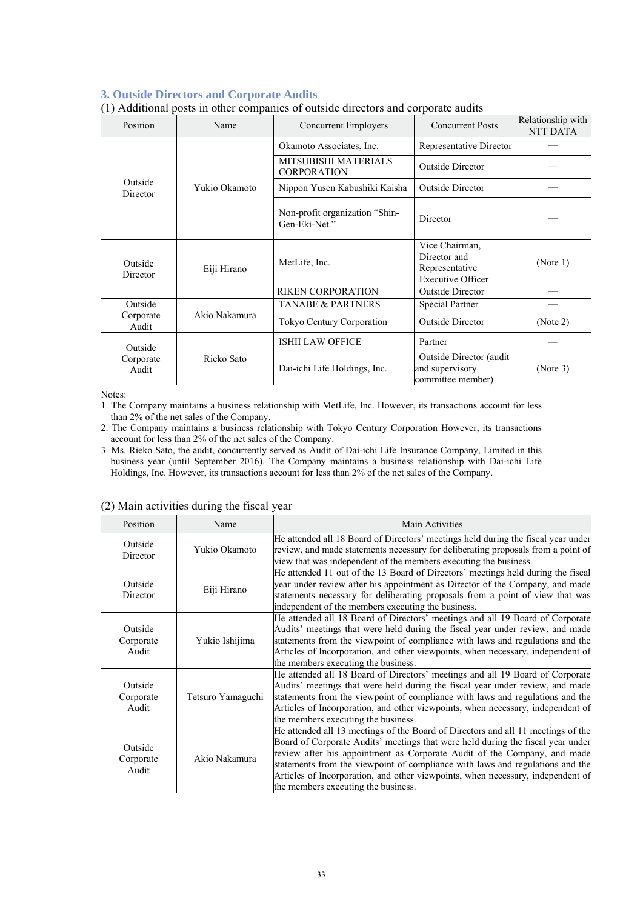#### **3. Outside Directors and Corporate Audits**

| (1) Additional posts in other companies of outside uncertifs and corporate addits |                                                   |                               |                                                                              |                                      |
|-----------------------------------------------------------------------------------|---------------------------------------------------|-------------------------------|------------------------------------------------------------------------------|--------------------------------------|
| Position                                                                          | Name                                              | <b>Concurrent Employers</b>   | <b>Concurrent Posts</b>                                                      | Relationship with<br><b>NTT DATA</b> |
|                                                                                   |                                                   | Okamoto Associates, Inc.      | Representative Director                                                      |                                      |
|                                                                                   | <b>MITSUBISHI MATERIALS</b><br><b>CORPORATION</b> | <b>Outside Director</b>       |                                                                              |                                      |
| Outside<br>Director                                                               | Yukio Okamoto                                     | Nippon Yusen Kabushiki Kaisha | Outside Director                                                             |                                      |
|                                                                                   | Non-profit organization "Shin-<br>Gen-Eki-Net."   | Director                      |                                                                              |                                      |
| Outside<br>Director                                                               | Eiji Hirano                                       | MetLife, Inc.                 | Vice Chairman,<br>Director and<br>Representative<br><b>Executive Officer</b> | (Note 1)                             |
|                                                                                   |                                                   | <b>RIKEN CORPORATION</b>      | <b>Outside Director</b>                                                      |                                      |
| Outside                                                                           |                                                   | <b>TANABE &amp; PARTNERS</b>  | Special Partner                                                              |                                      |
| Akio Nakamura<br>Corporate<br>Audit                                               |                                                   | Tokyo Century Corporation     | <b>Outside Director</b>                                                      | (Note 2)                             |
| Outside                                                                           |                                                   | <b>ISHII LAW OFFICE</b>       | Partner                                                                      |                                      |
| Rieko Sato<br>Corporate<br>Audit                                                  |                                                   | Dai-ichi Life Holdings, Inc.  | Outside Director (audit<br>and supervisory<br>committee member)              | (Note 3)                             |

#### (1) Additional posts in other companies of outside directors and corporate audits

Notes:

1. The Company maintains a business relationship with MetLife, Inc. However, its transactions account for less than 2% of the net sales of the Company.

2. The Company maintains a business relationship with Tokyo Century Corporation However, its transactions account for less than 2% of the net sales of the Company.

3. Ms. Rieko Sato, the audit, concurrently served as Audit of Dai-ichi Life Insurance Company, Limited in this business year (until September 2016). The Company maintains a business relationship with Dai-ichi Life Holdings, Inc. However, its transactions account for less than 2% of the net sales of the Company.

| Position                      | Name              | Main Activities                                                                                                                                                                                                                                                                                                                                                                                                                                            |
|-------------------------------|-------------------|------------------------------------------------------------------------------------------------------------------------------------------------------------------------------------------------------------------------------------------------------------------------------------------------------------------------------------------------------------------------------------------------------------------------------------------------------------|
| Outside<br>Director           | Yukio Okamoto     | He attended all 18 Board of Directors' meetings held during the fiscal year under<br>review, and made statements necessary for deliberating proposals from a point of<br>view that was independent of the members executing the business.                                                                                                                                                                                                                  |
| Outside<br>Director           | Eiji Hirano       | He attended 11 out of the 13 Board of Directors' meetings held during the fiscal<br>year under review after his appointment as Director of the Company, and made<br>statements necessary for deliberating proposals from a point of view that was<br>independent of the members executing the business.                                                                                                                                                    |
| Outside<br>Corporate<br>Audit | Yukio Ishijima    | He attended all 18 Board of Directors' meetings and all 19 Board of Corporate<br>Audits' meetings that were held during the fiscal year under review, and made<br>statements from the viewpoint of compliance with laws and regulations and the<br>Articles of Incorporation, and other viewpoints, when necessary, independent of<br>the members executing the business.                                                                                  |
| Outside<br>Corporate<br>Audit | Tetsuro Yamaguchi | He attended all 18 Board of Directors' meetings and all 19 Board of Corporate<br>Audits' meetings that were held during the fiscal year under review, and made<br>statements from the viewpoint of compliance with laws and regulations and the<br>Articles of Incorporation, and other viewpoints, when necessary, independent of<br>the members executing the business.                                                                                  |
| Outside<br>Corporate<br>Audit | Akio Nakamura     | He attended all 13 meetings of the Board of Directors and all 11 meetings of the<br>Board of Corporate Audits' meetings that were held during the fiscal year under<br>review after his appointment as Corporate Audit of the Company, and made<br>statements from the viewpoint of compliance with laws and regulations and the<br>Articles of Incorporation, and other viewpoints, when necessary, independent of<br>the members executing the business. |

#### (2) Main activities during the fiscal year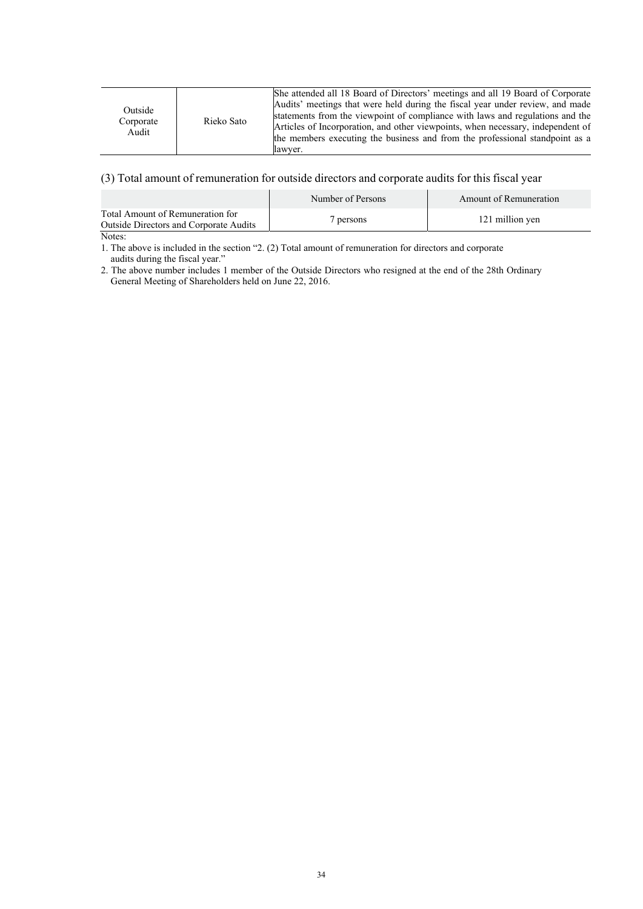| Rieko Sato<br>Corporate<br>Audit<br>lawver. | Outside |  | She attended all 18 Board of Directors' meetings and all 19 Board of Corporate<br>Audits' meetings that were held during the fiscal year under review, and made<br>statements from the viewpoint of compliance with laws and regulations and the<br>Articles of Incorporation, and other viewpoints, when necessary, independent of<br>the members executing the business and from the professional standpoint as a |
|---------------------------------------------|---------|--|---------------------------------------------------------------------------------------------------------------------------------------------------------------------------------------------------------------------------------------------------------------------------------------------------------------------------------------------------------------------------------------------------------------------|
|---------------------------------------------|---------|--|---------------------------------------------------------------------------------------------------------------------------------------------------------------------------------------------------------------------------------------------------------------------------------------------------------------------------------------------------------------------------------------------------------------------|

## (3) Total amount of remuneration for outside directors and corporate audits for this fiscal year

|                                                                                   | Number of Persons | Amount of Remuneration |
|-----------------------------------------------------------------------------------|-------------------|------------------------|
| Total Amount of Remuneration for<br><b>Outside Directors and Corporate Audits</b> | persons           | 121 million yen        |
|                                                                                   |                   |                        |

Notes:

1. The above is included in the section "2. (2) Total amount of remuneration for directors and corporate audits during the fiscal year."

2. The above number includes 1 member of the Outside Directors who resigned at the end of the 28th Ordinary General Meeting of Shareholders held on June 22, 2016.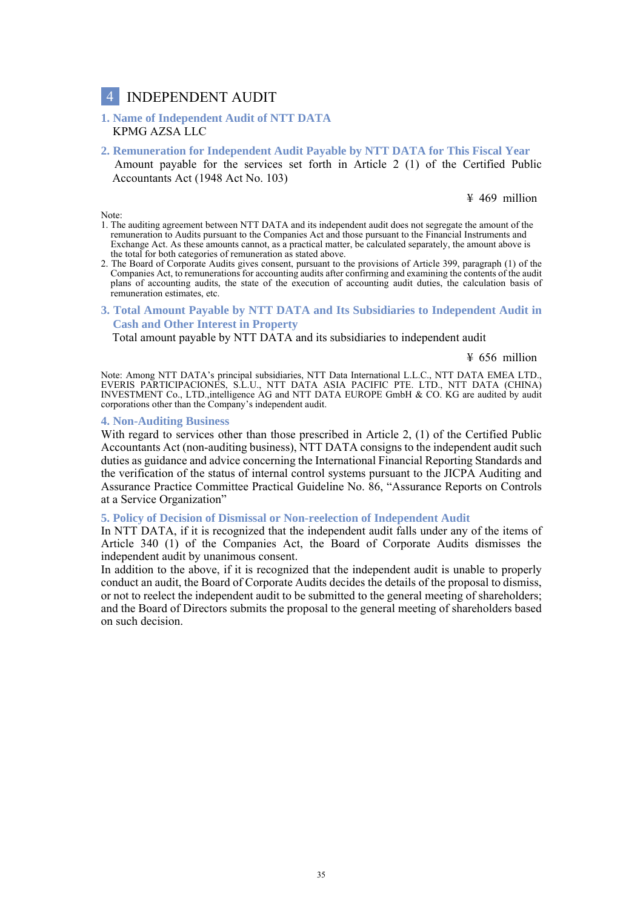# 4 INDEPENDENT AUDIT

#### **1. Name of Independent Audit of NTT DATA** KPMG AZSA LLC

**2. Remuneration for Independent Audit Payable by NTT DATA for This Fiscal Year** Amount payable for the services set forth in Article 2 (1) of the Certified Public Accountants Act (1948 Act No. 103)

¥ 469 million

#### Note:

- 1. The auditing agreement between NTT DATA and its independent audit does not segregate the amount of the remuneration to Audits pursuant to the Companies Act and those pursuant to the Financial Instruments and Exchange Act. As these amounts cannot, as a practical matter, be calculated separately, the amount above is the total for both categories of remuneration as stated above.
- 2. The Board of Corporate Audits gives consent, pursuant to the provisions of Article 399, paragraph (1) of the Companies Act, to remunerations for accounting audits after confirming and examining the contents of the audit plans of accounting audits, the state of the execution of accounting audit duties, the calculation basis of remuneration estimates, etc.
- **3. Total Amount Payable by NTT DATA and Its Subsidiaries to Independent Audit in Cash and Other Interest in Property**

Total amount payable by NTT DATA and its subsidiaries to independent audit

¥ 656 million

 Note: Among NTT DATA's principal subsidiaries, NTT Data International L.L.C., NTT DATA EMEA LTD., EVERIS PARTICIPACIONES, S.L.U., NTT DATA ASIA PACIFIC PTE. LTD., NTT DATA (CHINA) INVESTMENT Co., LTD.,intelligence AG and NTT DATA EUROPE GmbH & CO. KG are audited by audit corporations other than the Company's independent audit.

#### **4. Non-Auditing Business**

With regard to services other than those prescribed in Article 2, (1) of the Certified Public Accountants Act (non-auditing business), NTT DATA consigns to the independent audit such duties as guidance and advice concerning the International Financial Reporting Standards and the verification of the status of internal control systems pursuant to the JICPA Auditing and Assurance Practice Committee Practical Guideline No. 86, "Assurance Reports on Controls at a Service Organization"

#### **5. Policy of Decision of Dismissal or Non-reelection of Independent Audit**

In NTT DATA, if it is recognized that the independent audit falls under any of the items of Article 340 (1) of the Companies Act, the Board of Corporate Audits dismisses the independent audit by unanimous consent.

In addition to the above, if it is recognized that the independent audit is unable to properly conduct an audit, the Board of Corporate Audits decides the details of the proposal to dismiss, or not to reelect the independent audit to be submitted to the general meeting of shareholders; and the Board of Directors submits the proposal to the general meeting of shareholders based on such decision.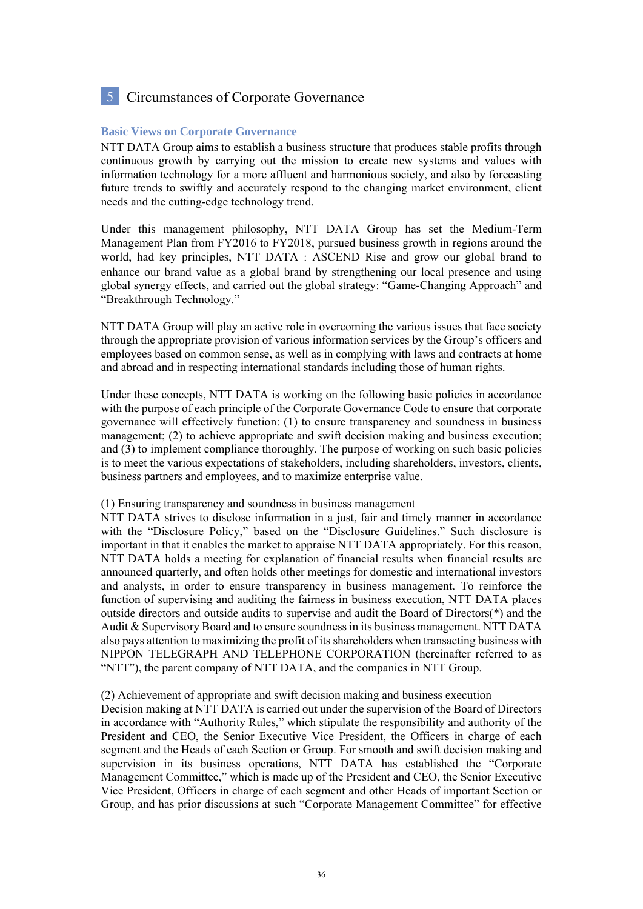# 5 Circumstances of Corporate Governance

#### **Basic Views on Corporate Governance**

NTT DATA Group aims to establish a business structure that produces stable profits through continuous growth by carrying out the mission to create new systems and values with information technology for a more affluent and harmonious society, and also by forecasting future trends to swiftly and accurately respond to the changing market environment, client needs and the cutting-edge technology trend.

Under this management philosophy, NTT DATA Group has set the Medium-Term Management Plan from FY2016 to FY2018, pursued business growth in regions around the world, had key principles, NTT DATA: ASCEND Rise and grow our global brand to enhance our brand value as a global brand by strengthening our local presence and using global synergy effects, and carried out the global strategy: "Game-Changing Approach" and "Breakthrough Technology."

NTT DATA Group will play an active role in overcoming the various issues that face society through the appropriate provision of various information services by the Group's officers and employees based on common sense, as well as in complying with laws and contracts at home and abroad and in respecting international standards including those of human rights.

Under these concepts, NTT DATA is working on the following basic policies in accordance with the purpose of each principle of the Corporate Governance Code to ensure that corporate governance will effectively function: (1) to ensure transparency and soundness in business management; (2) to achieve appropriate and swift decision making and business execution; and (3) to implement compliance thoroughly. The purpose of working on such basic policies is to meet the various expectations of stakeholders, including shareholders, investors, clients, business partners and employees, and to maximize enterprise value.

#### (1) Ensuring transparency and soundness in business management

NTT DATA strives to disclose information in a just, fair and timely manner in accordance with the "Disclosure Policy," based on the "Disclosure Guidelines." Such disclosure is important in that it enables the market to appraise NTT DATA appropriately. For this reason, NTT DATA holds a meeting for explanation of financial results when financial results are announced quarterly, and often holds other meetings for domestic and international investors and analysts, in order to ensure transparency in business management. To reinforce the function of supervising and auditing the fairness in business execution, NTT DATA places outside directors and outside audits to supervise and audit the Board of Directors(\*) and the Audit & Supervisory Board and to ensure soundness in its business management. NTT DATA also pays attention to maximizing the profit of its shareholders when transacting business with NIPPON TELEGRAPH AND TELEPHONE CORPORATION (hereinafter referred to as "NTT"), the parent company of NTT DATA, and the companies in NTT Group.

#### (2) Achievement of appropriate and swift decision making and business execution

Decision making at NTT DATA is carried out under the supervision of the Board of Directors in accordance with "Authority Rules," which stipulate the responsibility and authority of the President and CEO, the Senior Executive Vice President, the Officers in charge of each segment and the Heads of each Section or Group. For smooth and swift decision making and supervision in its business operations, NTT DATA has established the "Corporate Management Committee," which is made up of the President and CEO, the Senior Executive Vice President, Officers in charge of each segment and other Heads of important Section or Group, and has prior discussions at such "Corporate Management Committee" for effective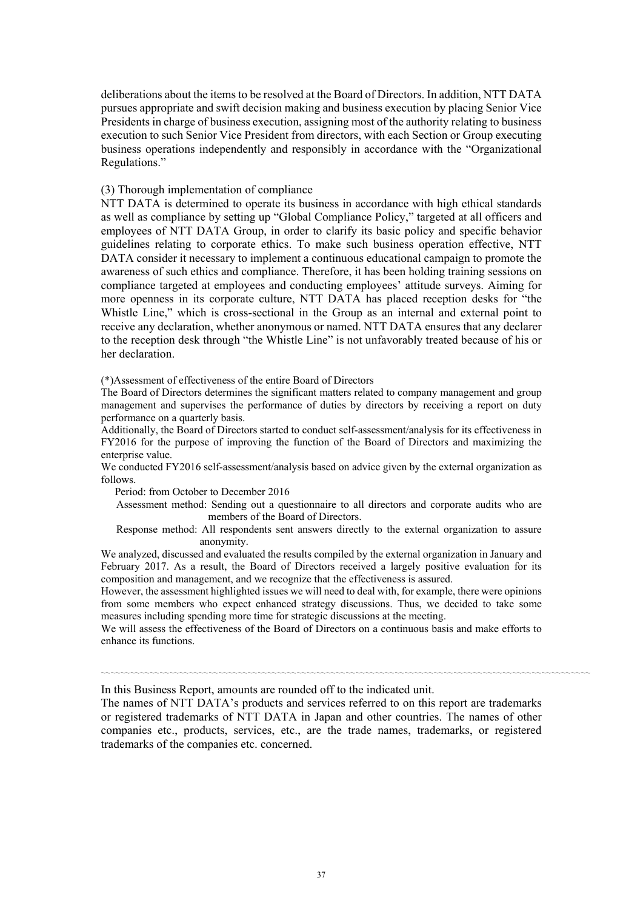deliberations about the items to be resolved at the Board of Directors. In addition, NTT DATA pursues appropriate and swift decision making and business execution by placing Senior Vice Presidents in charge of business execution, assigning most of the authority relating to business execution to such Senior Vice President from directors, with each Section or Group executing business operations independently and responsibly in accordance with the "Organizational Regulations."

#### (3) Thorough implementation of compliance

NTT DATA is determined to operate its business in accordance with high ethical standards as well as compliance by setting up "Global Compliance Policy," targeted at all officers and employees of NTT DATA Group, in order to clarify its basic policy and specific behavior guidelines relating to corporate ethics. To make such business operation effective, NTT DATA consider it necessary to implement a continuous educational campaign to promote the awareness of such ethics and compliance. Therefore, it has been holding training sessions on compliance targeted at employees and conducting employees' attitude surveys. Aiming for more openness in its corporate culture, NTT DATA has placed reception desks for "the Whistle Line," which is cross-sectional in the Group as an internal and external point to receive any declaration, whether anonymous or named. NTT DATA ensures that any declarer to the reception desk through "the Whistle Line" is not unfavorably treated because of his or her declaration.

(\*)Assessment of effectiveness of the entire Board of Directors

The Board of Directors determines the significant matters related to company management and group management and supervises the performance of duties by directors by receiving a report on duty performance on a quarterly basis.

Additionally, the Board of Directors started to conduct self-assessment/analysis for its effectiveness in FY2016 for the purpose of improving the function of the Board of Directors and maximizing the enterprise value.

We conducted FY2016 self-assessment/analysis based on advice given by the external organization as follows.

Period: from October to December 2016

Assessment method: Sending out a questionnaire to all directors and corporate audits who are members of the Board of Directors.

Response method: All respondents sent answers directly to the external organization to assure anonymity.

We analyzed, discussed and evaluated the results compiled by the external organization in January and February 2017. As a result, the Board of Directors received a largely positive evaluation for its composition and management, and we recognize that the effectiveness is assured.

However, the assessment highlighted issues we will need to deal with, for example, there were opinions from some members who expect enhanced strategy discussions. Thus, we decided to take some measures including spending more time for strategic discussions at the meeting.

We will assess the effectiveness of the Board of Directors on a continuous basis and make efforts to enhance its functions.

〰〰〰〰〰〰〰〰〰〰〰〰〰〰〰〰〰〰〰〰〰〰〰〰〰〰〰〰〰〰〰〰〰〰〰〰〰〰〰〰〰〰〰〰〰〰〰〰〰〰

In this Business Report, amounts are rounded off to the indicated unit.

The names of NTT DATA's products and services referred to on this report are trademarks or registered trademarks of NTT DATA in Japan and other countries. The names of other companies etc., products, services, etc., are the trade names, trademarks, or registered trademarks of the companies etc. concerned.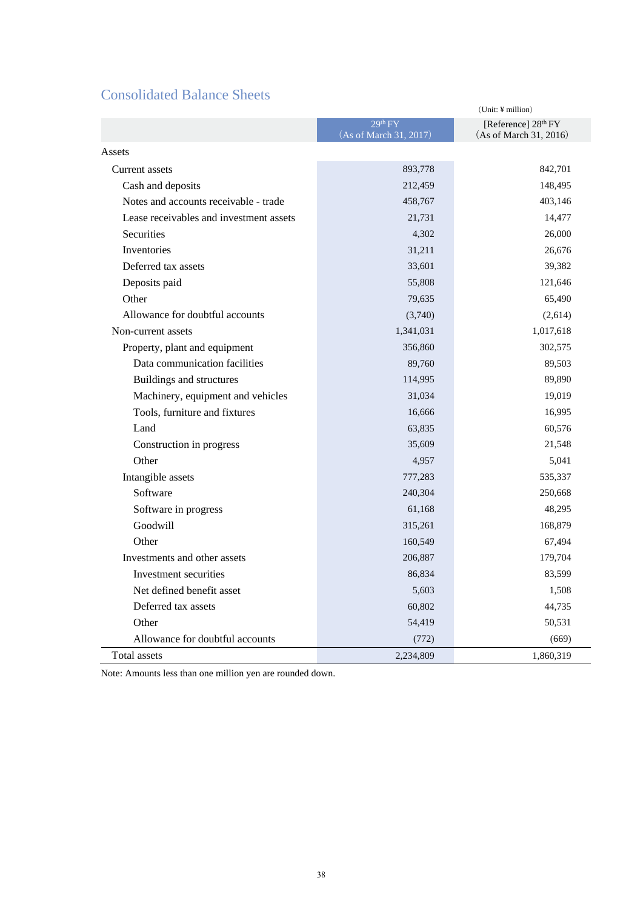# Consolidated Balance Sheets

|                                         |                                   | $(Unit: \yen million)$                          |
|-----------------------------------------|-----------------------------------|-------------------------------------------------|
|                                         | 29th FY<br>(As of March 31, 2017) | [Reference] $28th FY$<br>(As of March 31, 2016) |
| Assets                                  |                                   |                                                 |
| Current assets                          | 893,778                           | 842,701                                         |
| Cash and deposits                       | 212,459                           | 148,495                                         |
| Notes and accounts receivable - trade   | 458,767                           | 403,146                                         |
| Lease receivables and investment assets | 21,731                            | 14,477                                          |
| <b>Securities</b>                       | 4,302                             | 26,000                                          |
| Inventories                             | 31,211                            | 26,676                                          |
| Deferred tax assets                     | 33,601                            | 39,382                                          |
| Deposits paid                           | 55,808                            | 121,646                                         |
| Other                                   | 79,635                            | 65,490                                          |
| Allowance for doubtful accounts         | (3,740)                           | (2,614)                                         |
| Non-current assets                      | 1,341,031                         | 1,017,618                                       |
| Property, plant and equipment           | 356,860                           | 302,575                                         |
| Data communication facilities           | 89,760                            | 89,503                                          |
| Buildings and structures                | 114,995                           | 89,890                                          |
| Machinery, equipment and vehicles       | 31,034                            | 19,019                                          |
| Tools, furniture and fixtures           | 16,666                            | 16,995                                          |
| Land                                    | 63.835                            | 60,576                                          |
| Construction in progress                | 35,609                            | 21,548                                          |
| Other                                   | 4,957                             | 5,041                                           |
| Intangible assets                       | 777,283                           | 535,337                                         |
| Software                                | 240,304                           | 250,668                                         |
| Software in progress                    | 61,168                            | 48,295                                          |
| Goodwill                                | 315,261                           | 168,879                                         |
| Other                                   | 160,549                           | 67,494                                          |
| Investments and other assets            | 206,887                           | 179,704                                         |
| Investment securities                   | 86,834                            | 83,599                                          |
| Net defined benefit asset               | 5,603                             | 1,508                                           |
| Deferred tax assets                     | 60,802                            | 44,735                                          |
| Other                                   | 54,419                            | 50,531                                          |
| Allowance for doubtful accounts         | (772)                             | (669)                                           |
| Total assets                            | 2,234,809                         | 1,860,319                                       |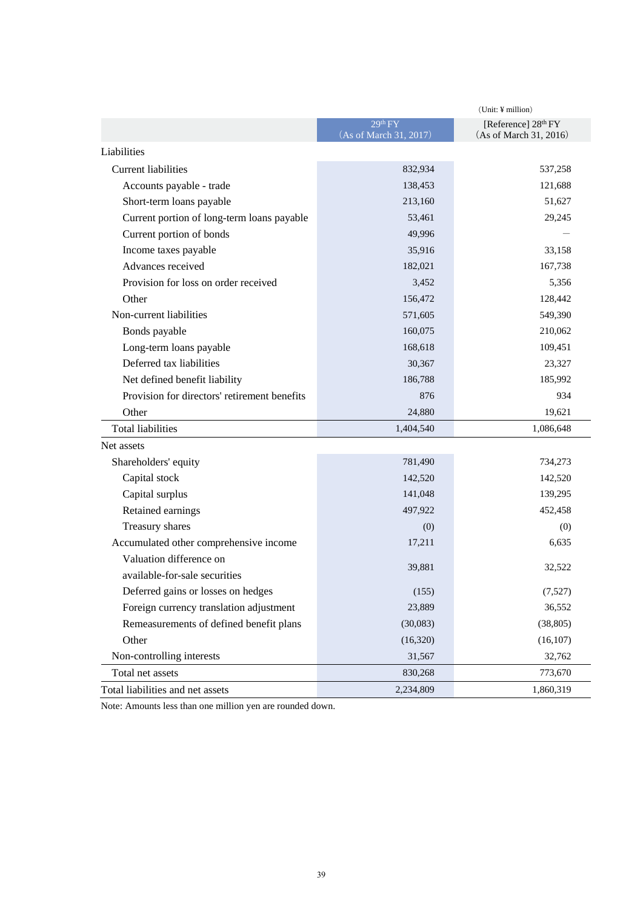|                                              |                                               | (Unit: ¥ million)                             |
|----------------------------------------------|-----------------------------------------------|-----------------------------------------------|
|                                              | 29 <sup>th</sup> FY<br>(As of March 31, 2017) | [Reference] 28th FY<br>(As of March 31, 2016) |
| Liabilities                                  |                                               |                                               |
| Current liabilities                          | 832,934                                       | 537,258                                       |
| Accounts payable - trade                     | 138,453                                       | 121,688                                       |
| Short-term loans payable                     | 213,160                                       | 51,627                                        |
| Current portion of long-term loans payable   | 53,461                                        | 29,245                                        |
| Current portion of bonds                     | 49,996                                        |                                               |
| Income taxes payable                         | 35,916                                        | 33,158                                        |
| Advances received                            | 182,021                                       | 167,738                                       |
| Provision for loss on order received         | 3,452                                         | 5,356                                         |
| Other                                        | 156,472                                       | 128,442                                       |
| Non-current liabilities                      | 571,605                                       | 549,390                                       |
| Bonds payable                                | 160,075                                       | 210,062                                       |
| Long-term loans payable                      | 168,618                                       | 109,451                                       |
| Deferred tax liabilities                     | 30,367                                        | 23,327                                        |
| Net defined benefit liability                | 186,788                                       | 185,992                                       |
| Provision for directors' retirement benefits | 876                                           | 934                                           |
| Other                                        | 24,880                                        | 19,621                                        |
| <b>Total liabilities</b>                     | 1,404,540                                     | 1,086,648                                     |
| Net assets                                   |                                               |                                               |
| Shareholders' equity                         | 781,490                                       | 734,273                                       |
| Capital stock                                | 142,520                                       | 142,520                                       |
| Capital surplus                              | 141,048                                       | 139,295                                       |
| Retained earnings                            | 497,922                                       | 452,458                                       |
| Treasury shares                              | (0)                                           | (0)                                           |
| Accumulated other comprehensive income       | 17,211                                        | 6,635                                         |
| Valuation difference on                      | 39,881                                        | 32,522                                        |
| available-for-sale securities                |                                               |                                               |
| Deferred gains or losses on hedges           | (155)                                         | (7,527)                                       |
| Foreign currency translation adjustment      | 23,889                                        | 36,552                                        |
| Remeasurements of defined benefit plans      | (30,083)                                      | (38, 805)                                     |
| Other                                        | (16,320)                                      | (16, 107)                                     |
| Non-controlling interests                    | 31,567                                        | 32,762                                        |
| Total net assets                             | 830,268                                       | 773,670                                       |
| Total liabilities and net assets             | 2,234,809                                     | 1,860,319                                     |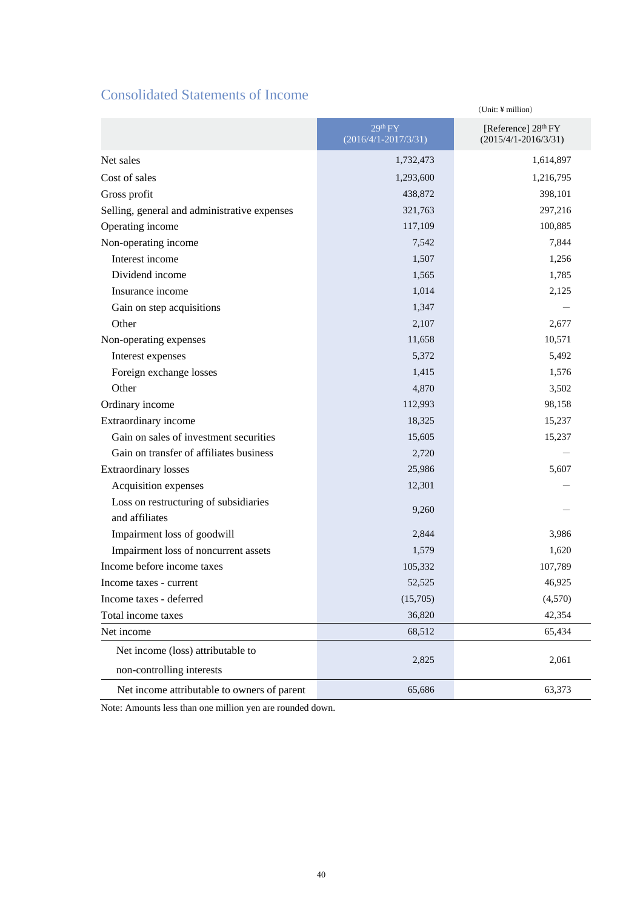# Consolidated Statements of Income

|                                              |                                                 | (Unit: ¥ million)                                           |
|----------------------------------------------|-------------------------------------------------|-------------------------------------------------------------|
|                                              | 29 <sup>th</sup> FY<br>$(2016/4/1 - 2017/3/31)$ | [Reference] 28 <sup>th</sup> FY<br>$(2015/4/1 - 2016/3/31)$ |
| Net sales                                    | 1,732,473                                       | 1,614,897                                                   |
| Cost of sales                                | 1,293,600                                       | 1,216,795                                                   |
| Gross profit                                 | 438,872                                         | 398,101                                                     |
| Selling, general and administrative expenses | 321,763                                         | 297,216                                                     |
| Operating income                             | 117,109                                         | 100,885                                                     |
| Non-operating income                         | 7,542                                           | 7,844                                                       |
| Interest income                              | 1,507                                           | 1,256                                                       |
| Dividend income                              | 1,565                                           | 1,785                                                       |
| Insurance income                             | 1,014                                           | 2,125                                                       |
| Gain on step acquisitions                    | 1,347                                           |                                                             |
| Other                                        | 2,107                                           | 2,677                                                       |
| Non-operating expenses                       | 11,658                                          | 10,571                                                      |
| Interest expenses                            | 5,372                                           | 5,492                                                       |
| Foreign exchange losses                      | 1,415                                           | 1,576                                                       |
| Other                                        | 4,870                                           | 3,502                                                       |
| Ordinary income                              | 112,993                                         | 98,158                                                      |
| Extraordinary income                         | 18,325                                          | 15,237                                                      |
| Gain on sales of investment securities       | 15,605                                          | 15,237                                                      |
| Gain on transfer of affiliates business      | 2,720                                           |                                                             |
| <b>Extraordinary losses</b>                  | 25,986                                          | 5,607                                                       |
| Acquisition expenses                         | 12,301                                          |                                                             |
| Loss on restructuring of subsidiaries        | 9,260                                           |                                                             |
| and affiliates                               |                                                 |                                                             |
| Impairment loss of goodwill                  | 2,844                                           | 3,986                                                       |
| Impairment loss of noncurrent assets         | 1,579                                           | 1,620                                                       |
| Income before income taxes                   | 105,332                                         | 107,789                                                     |
| Income taxes - current                       | 52,525                                          | 46,925                                                      |
| Income taxes - deferred                      | (15,705)                                        | (4,570)                                                     |
| Total income taxes                           | 36,820                                          | 42,354                                                      |
| Net income                                   | 68,512                                          | 65,434                                                      |
| Net income (loss) attributable to            |                                                 |                                                             |
| non-controlling interests                    | 2,825                                           | 2,061                                                       |
| Net income attributable to owners of parent  | 65,686                                          | 63,373                                                      |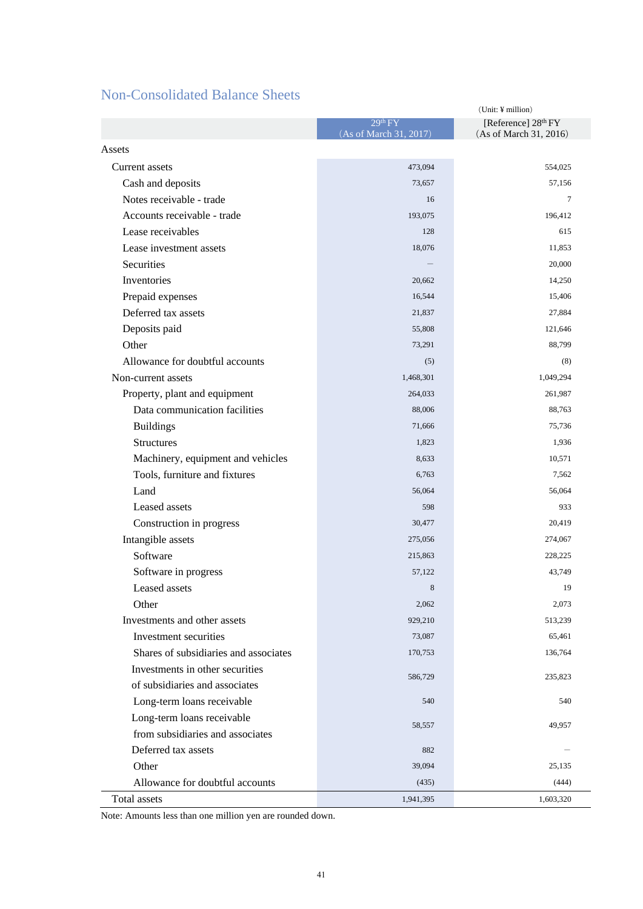# Non-Consolidated Balance Sheets

|                                       |                                               | $(Unit: \yen million)$                        |
|---------------------------------------|-----------------------------------------------|-----------------------------------------------|
|                                       | 29 <sup>th</sup> FY<br>(As of March 31, 2017) | [Reference] 28th FY<br>(As of March 31, 2016) |
| Assets                                |                                               |                                               |
| <b>Current</b> assets                 | 473,094                                       | 554,025                                       |
| Cash and deposits                     | 73,657                                        | 57,156                                        |
| Notes receivable - trade              | 16                                            | 7                                             |
| Accounts receivable - trade           | 193,075                                       | 196,412                                       |
| Lease receivables                     | 128                                           | 615                                           |
| Lease investment assets               | 18,076                                        | 11,853                                        |
| Securities                            |                                               | 20,000                                        |
| Inventories                           | 20,662                                        | 14,250                                        |
| Prepaid expenses                      | 16,544                                        | 15,406                                        |
| Deferred tax assets                   | 21,837                                        | 27,884                                        |
| Deposits paid                         | 55,808                                        | 121,646                                       |
| Other                                 | 73,291                                        | 88,799                                        |
| Allowance for doubtful accounts       | (5)                                           | (8)                                           |
| Non-current assets                    | 1,468,301                                     | 1,049,294                                     |
| Property, plant and equipment         | 264,033                                       | 261,987                                       |
| Data communication facilities         | 88,006                                        | 88,763                                        |
| <b>Buildings</b>                      | 71,666                                        | 75,736                                        |
| <b>Structures</b>                     | 1,823                                         | 1,936                                         |
| Machinery, equipment and vehicles     | 8,633                                         | 10,571                                        |
| Tools, furniture and fixtures         | 6,763                                         | 7,562                                         |
| Land                                  | 56,064                                        | 56,064                                        |
| Leased assets                         | 598                                           | 933                                           |
| Construction in progress              | 30,477                                        | 20,419                                        |
| Intangible assets                     | 275,056                                       | 274,067                                       |
| Software                              | 215,863                                       | 228,225                                       |
| Software in progress                  | 57,122                                        | 43,749                                        |
| Leased assets                         | 8                                             | 19                                            |
| Other                                 | 2,062                                         | 2,073                                         |
| Investments and other assets          | 929,210                                       | 513,239                                       |
| Investment securities                 | 73,087                                        | 65,461                                        |
| Shares of subsidiaries and associates | 170,753                                       | 136,764                                       |
| Investments in other securities       | 586,729                                       | 235,823                                       |
| of subsidiaries and associates        |                                               |                                               |
| Long-term loans receivable            | 540                                           | 540                                           |
| Long-term loans receivable            | 58,557                                        | 49,957                                        |
| from subsidiaries and associates      |                                               |                                               |
| Deferred tax assets                   | 882                                           |                                               |
| Other                                 | 39,094                                        | 25,135                                        |
| Allowance for doubtful accounts       | (435)                                         | (444)                                         |
| Total assets                          | 1,941,395                                     | 1,603,320                                     |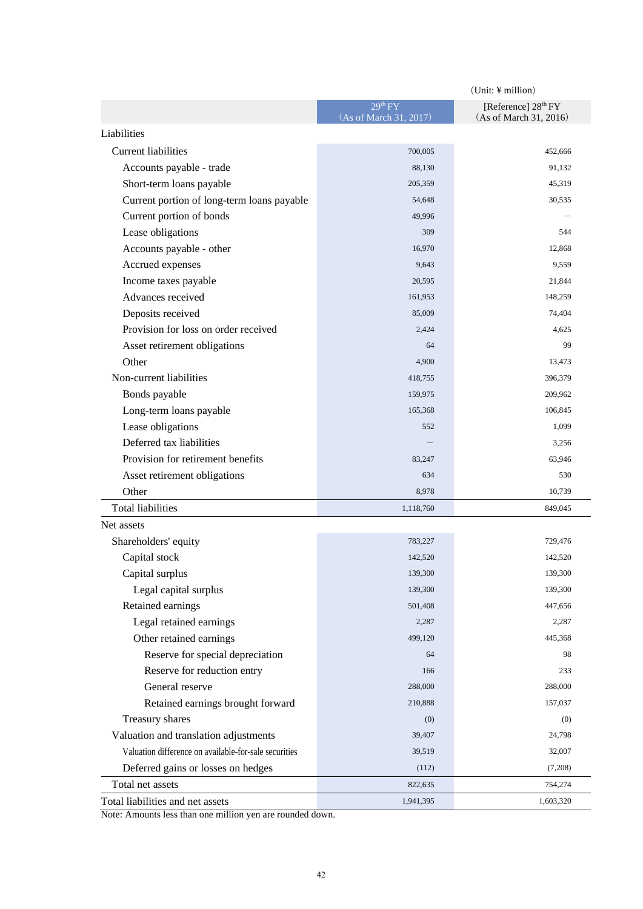|                                                       | $(Unit: \n  if million)$                      |                                                           |
|-------------------------------------------------------|-----------------------------------------------|-----------------------------------------------------------|
|                                                       | 29 <sup>th</sup> FY<br>(As of March 31, 2017) | [Reference] 28 <sup>th</sup> FY<br>(As of March 31, 2016) |
| Liabilities                                           |                                               |                                                           |
| <b>Current liabilities</b>                            | 700,005                                       | 452,666                                                   |
| Accounts payable - trade                              | 88,130                                        | 91,132                                                    |
| Short-term loans payable                              | 205,359                                       | 45,319                                                    |
| Current portion of long-term loans payable            | 54,648                                        | 30,535                                                    |
| Current portion of bonds                              | 49,996                                        |                                                           |
| Lease obligations                                     | 309                                           | 544                                                       |
| Accounts payable - other                              | 16,970                                        | 12,868                                                    |
| Accrued expenses                                      | 9,643                                         | 9,559                                                     |
| Income taxes payable                                  | 20,595                                        | 21,844                                                    |
| Advances received                                     | 161,953                                       | 148,259                                                   |
| Deposits received                                     | 85,009                                        | 74,404                                                    |
| Provision for loss on order received                  | 2,424                                         | 4,625                                                     |
| Asset retirement obligations                          | 64                                            | 99                                                        |
| Other                                                 | 4,900                                         | 13,473                                                    |
| Non-current liabilities                               | 418,755                                       | 396,379                                                   |
| Bonds payable                                         | 159,975                                       | 209,962                                                   |
| Long-term loans payable                               | 165,368                                       | 106,845                                                   |
| Lease obligations                                     | 552                                           | 1,099                                                     |
| Deferred tax liabilities                              |                                               | 3,256                                                     |
| Provision for retirement benefits                     | 83,247                                        | 63,946                                                    |
| Asset retirement obligations                          | 634                                           | 530                                                       |
| Other                                                 | 8,978                                         | 10,739                                                    |
| <b>Total liabilities</b>                              | 1,118,760                                     | 849,045                                                   |
| Net assets                                            |                                               |                                                           |
| Shareholders' equity                                  | 783,227                                       | 729,476                                                   |
| Capital stock                                         | 142,520                                       | 142,520                                                   |
| Capital surplus                                       | 139,300                                       | 139,300                                                   |
| Legal capital surplus                                 | 139,300                                       | 139,300                                                   |
| Retained earnings                                     | 501,408                                       | 447,656                                                   |
| Legal retained earnings                               | 2,287                                         | 2,287                                                     |
| Other retained earnings                               | 499,120                                       | 445,368                                                   |
| Reserve for special depreciation                      | 64                                            | 98                                                        |
| Reserve for reduction entry                           | 166                                           | 233                                                       |
| General reserve                                       | 288,000                                       | 288,000                                                   |
| Retained earnings brought forward                     | 210,888                                       | 157,037                                                   |
| Treasury shares                                       | (0)                                           | (0)                                                       |
| Valuation and translation adjustments                 | 39,407                                        | 24,798                                                    |
| Valuation difference on available-for-sale securities | 39,519                                        | 32,007                                                    |
| Deferred gains or losses on hedges                    | (112)                                         | (7,208)                                                   |
| Total net assets                                      | 822,635                                       | 754,274                                                   |
| Total liabilities and net assets                      | 1,941,395                                     | 1,603,320                                                 |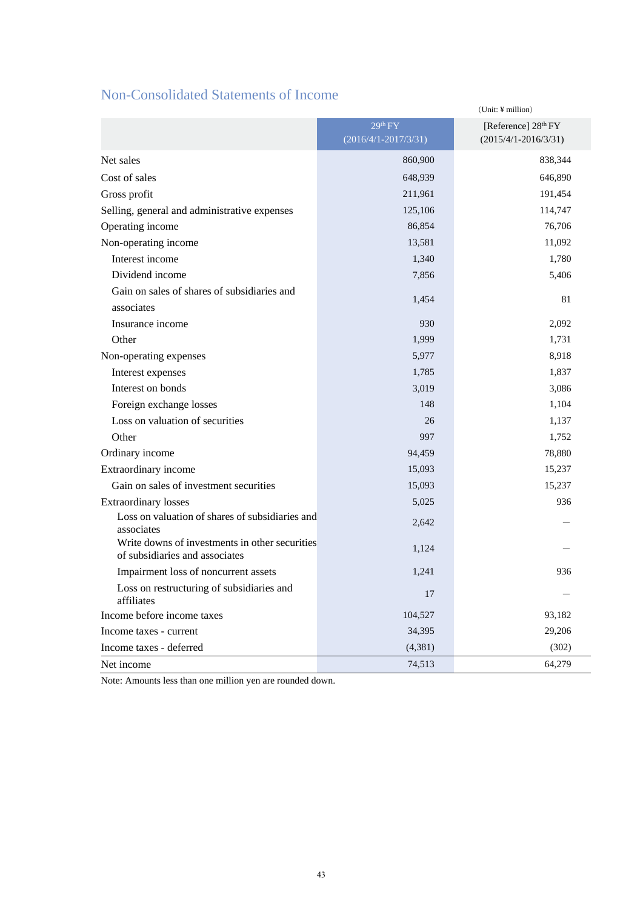# Non-Consolidated Statements of Income

|                                                                                  |                          | (Unit: ¥ million)        |
|----------------------------------------------------------------------------------|--------------------------|--------------------------|
|                                                                                  | 29 <sup>th</sup> FY      | [Reference] 28th FY      |
|                                                                                  | $(2016/4/1 - 2017/3/31)$ | $(2015/4/1 - 2016/3/31)$ |
| Net sales                                                                        | 860,900                  | 838,344                  |
| Cost of sales                                                                    | 648,939                  | 646,890                  |
| Gross profit                                                                     | 211,961                  | 191,454                  |
| Selling, general and administrative expenses                                     | 125,106                  | 114,747                  |
| Operating income                                                                 | 86,854                   | 76,706                   |
| Non-operating income                                                             | 13,581                   | 11,092                   |
| Interest income                                                                  | 1,340                    | 1,780                    |
| Dividend income                                                                  | 7,856                    | 5,406                    |
| Gain on sales of shares of subsidiaries and                                      |                          | 81                       |
| associates                                                                       | 1,454                    |                          |
| Insurance income                                                                 | 930                      | 2,092                    |
| Other                                                                            | 1,999                    | 1,731                    |
| Non-operating expenses                                                           | 5,977                    | 8,918                    |
| Interest expenses                                                                | 1,785                    | 1,837                    |
| Interest on bonds                                                                | 3,019                    | 3,086                    |
| Foreign exchange losses                                                          | 148                      | 1,104                    |
| Loss on valuation of securities                                                  | 26                       | 1,137                    |
| Other                                                                            | 997                      | 1,752                    |
| Ordinary income                                                                  | 94,459                   | 78,880                   |
| Extraordinary income                                                             | 15,093                   | 15,237                   |
| Gain on sales of investment securities                                           | 15,093                   | 15,237                   |
| <b>Extraordinary losses</b>                                                      | 5,025                    | 936                      |
| Loss on valuation of shares of subsidiaries and<br>associates                    | 2,642                    |                          |
| Write downs of investments in other securities<br>of subsidiaries and associates | 1,124                    |                          |
| Impairment loss of noncurrent assets                                             | 1,241                    | 936                      |
| Loss on restructuring of subsidiaries and<br>affiliates                          | 17                       |                          |
| Income before income taxes                                                       | 104,527                  | 93,182                   |
| Income taxes - current                                                           | 34,395                   | 29,206                   |
| Income taxes - deferred                                                          | (4, 381)                 | (302)                    |
| Net income                                                                       | 74,513                   | 64,279                   |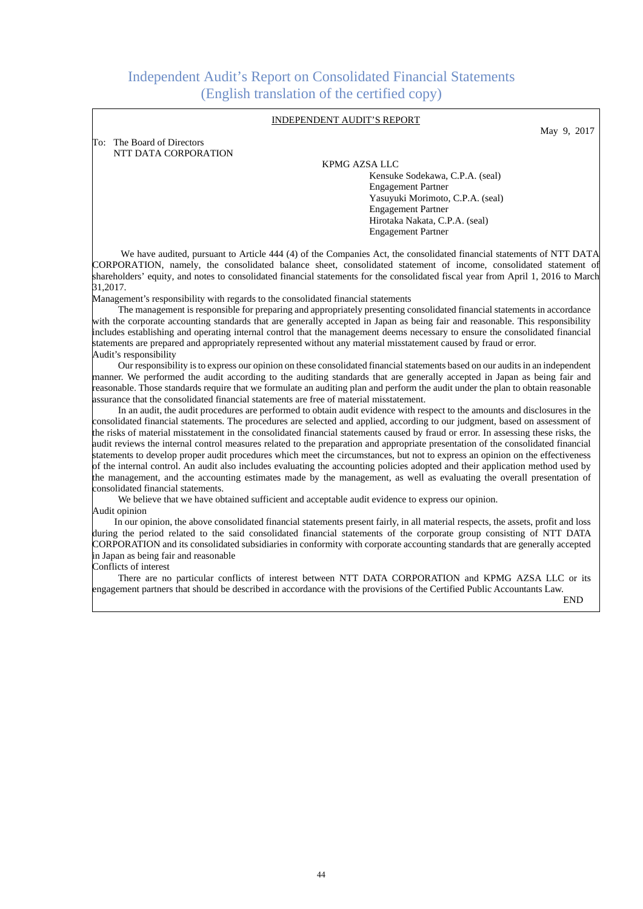# Independent Audit's Report on Consolidated Financial Statements (English translation of the certified copy)

#### INDEPENDENT AUDIT'S REPORT

May 9, 2017

To: The Board of Directors NTT DATA CORPORATION

#### KPMG AZSA LLC

 Kensuke Sodekawa, C.P.A. (seal) Engagement Partner Yasuyuki Morimoto, C.P.A. (seal) Engagement Partner Hirotaka Nakata, C.P.A. (seal) Engagement Partner

We have audited, pursuant to Article 444 (4) of the Companies Act, the consolidated financial statements of NTT DATA CORPORATION, namely, the consolidated balance sheet, consolidated statement of income, consolidated statement of shareholders' equity, and notes to consolidated financial statements for the consolidated fiscal year from April 1, 2016 to March 31,2017.

Management's responsibility with regards to the consolidated financial statements

The management is responsible for preparing and appropriately presenting consolidated financial statements in accordance with the corporate accounting standards that are generally accepted in Japan as being fair and reasonable. This responsibility includes establishing and operating internal control that the management deems necessary to ensure the consolidated financial statements are prepared and appropriately represented without any material misstatement caused by fraud or error. Audit's responsibility

Our responsibility is to express our opinion on these consolidated financial statements based on our audits in an independent manner. We performed the audit according to the auditing standards that are generally accepted in Japan as being fair and reasonable. Those standards require that we formulate an auditing plan and perform the audit under the plan to obtain reasonable assurance that the consolidated financial statements are free of material misstatement.

In an audit, the audit procedures are performed to obtain audit evidence with respect to the amounts and disclosures in the consolidated financial statements. The procedures are selected and applied, according to our judgment, based on assessment of the risks of material misstatement in the consolidated financial statements caused by fraud or error. In assessing these risks, the audit reviews the internal control measures related to the preparation and appropriate presentation of the consolidated financial statements to develop proper audit procedures which meet the circumstances, but not to express an opinion on the effectiveness of the internal control. An audit also includes evaluating the accounting policies adopted and their application method used by the management, and the accounting estimates made by the management, as well as evaluating the overall presentation of consolidated financial statements.

We believe that we have obtained sufficient and acceptable audit evidence to express our opinion. Audit opinion

In our opinion, the above consolidated financial statements present fairly, in all material respects, the assets, profit and loss during the period related to the said consolidated financial statements of the corporate group consisting of NTT DATA CORPORATION and its consolidated subsidiaries in conformity with corporate accounting standards that are generally accepted in Japan as being fair and reasonable

Conflicts of interest

 $\overline{\phantom{a}}$ 

There are no particular conflicts of interest between NTT DATA CORPORATION and KPMG AZSA LLC or its engagement partners that should be described in accordance with the provisions of the Certified Public Accountants Law.

END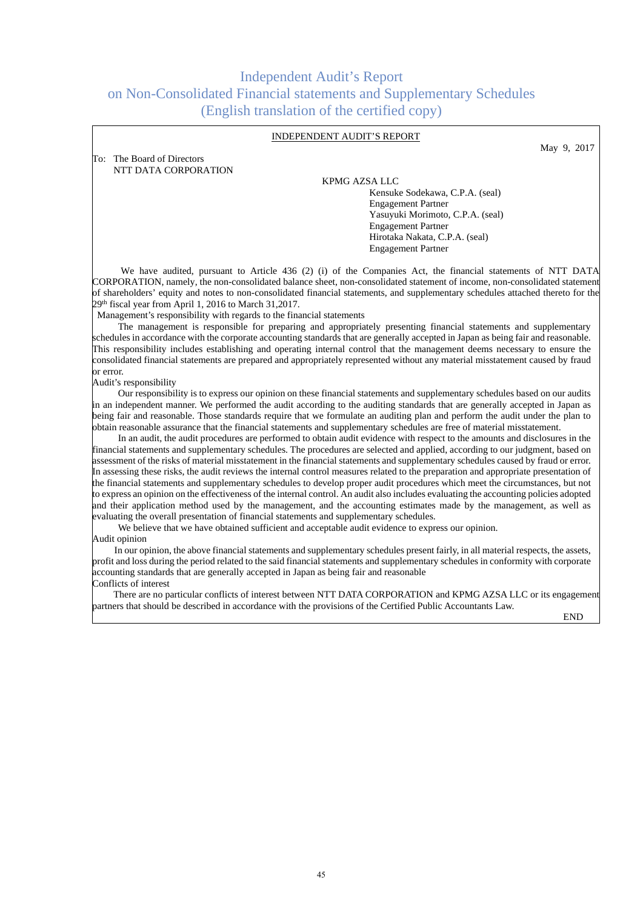# Independent Audit's Report on Non-Consolidated Financial statements and Supplementary Schedules (English translation of the certified copy)

#### INDEPENDENT AUDIT'S REPORT

To: The Board of Directors NTT DATA CORPORATION

#### KPMG AZSA LLC

 Kensuke Sodekawa, C.P.A. (seal) Engagement Partner Yasuyuki Morimoto, C.P.A. (seal) Engagement Partner Hirotaka Nakata, C.P.A. (seal) Engagement Partner

We have audited, pursuant to Article 436 (2) (i) of the Companies Act, the financial statements of NTT DATA CORPORATION, namely, the non-consolidated balance sheet, non-consolidated statement of income, non-consolidated statement of shareholders' equity and notes to non-consolidated financial statements, and supplementary schedules attached thereto for the 29<sup>th</sup> fiscal year from April 1, 2016 to March 31,2017.

Management's responsibility with regards to the financial statements

The management is responsible for preparing and appropriately presenting financial statements and supplementary schedules in accordance with the corporate accounting standards that are generally accepted in Japan as being fair and reasonable. This responsibility includes establishing and operating internal control that the management deems necessary to ensure the consolidated financial statements are prepared and appropriately represented without any material misstatement caused by fraud or error.

Audit's responsibility

Our responsibility is to express our opinion on these financial statements and supplementary schedules based on our audits in an independent manner. We performed the audit according to the auditing standards that are generally accepted in Japan as being fair and reasonable. Those standards require that we formulate an auditing plan and perform the audit under the plan to obtain reasonable assurance that the financial statements and supplementary schedules are free of material misstatement.

In an audit, the audit procedures are performed to obtain audit evidence with respect to the amounts and disclosures in the financial statements and supplementary schedules. The procedures are selected and applied, according to our judgment, based on assessment of the risks of material misstatement in the financial statements and supplementary schedules caused by fraud or error. In assessing these risks, the audit reviews the internal control measures related to the preparation and appropriate presentation of the financial statements and supplementary schedules to develop proper audit procedures which meet the circumstances, but not to express an opinion on the effectiveness of the internal control. An audit also includes evaluating the accounting policies adopted and their application method used by the management, and the accounting estimates made by the management, as well as evaluating the overall presentation of financial statements and supplementary schedules.

We believe that we have obtained sufficient and acceptable audit evidence to express our opinion. Audit opinion

In our opinion, the above financial statements and supplementary schedules present fairly, in all material respects, the assets, profit and loss during the period related to the said financial statements and supplementary schedules in conformity with corporate accounting standards that are generally accepted in Japan as being fair and reasonable Conflicts of interest

There are no particular conflicts of interest between NTT DATA CORPORATION and KPMG AZSA LLC or its engagement partners that should be described in accordance with the provisions of the Certified Public Accountants Law.

END

May 9, 2017